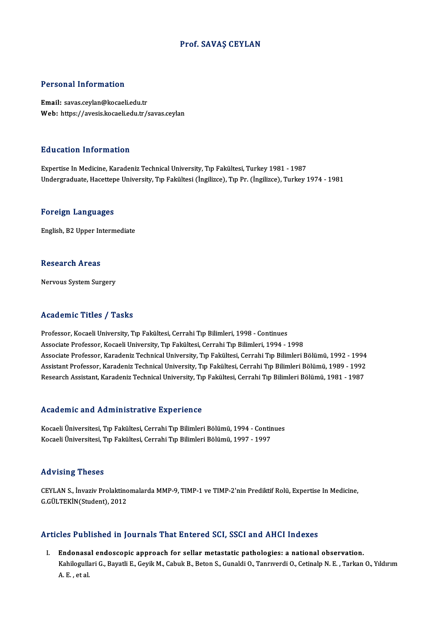#### Prof. SAVAŞ CEYLAN

#### Personal Information

Email: savas.ceylan@kocaeli.edu.tr Web: https://avesis.kocaeli.edu.tr/savas.ceylan

#### Education Information

Expertise InMedicine,KaradenizTechnicalUniversity,Tıp Fakültesi,Turkey1981 -1987 Undergraduate, Hacettepe University, Tıp Fakültesi (İngilizce), Tıp Pr. (İngilizce), Turkey 1974 - 1981

#### Foreign Languages

English,B2Upper Intermediate

#### **Research Areas**

Nervous System Surgery

#### Academic Titles / Tasks

Professor, Kocaeli University, Tıp Fakültesi, Cerrahi Tıp Bilimleri, 1998 - Continues Associate Professor, Kocaeli University, Tıp Fakültesi, Cerrahi Tıp Bilimleri, 1994 - 1998 Professor, Kocaeli University, Tıp Fakültesi, Cerrahi Tıp Bilimleri, 1998 - Continues<br>Associate Professor, Kocaeli University, Tıp Fakültesi, Cerrahi Tıp Bilimleri, 1994 - 1998<br>Associate Professor, Karadeniz Technical Univ Associate Professor, Kocaeli University, Tıp Fakültesi, Cerrahi Tıp Bilimleri, 1994 - 1998<br>Associate Professor, Karadeniz Technical University, Tıp Fakültesi, Cerrahi Tıp Bilimleri Bölümü, 1992 - 1994<br>Assistant Professor, Associate Professor, Karadeniz Technical University, Tıp Fakültesi, Cerrahi Tıp Bilimleri Bölümü, 1992 - 1994<br>Assistant Professor, Karadeniz Technical University, Tıp Fakültesi, Cerrahi Tıp Bilimleri Bölümü, 1989 - 1992<br>Re Research Assistant, Karadeniz Technical University, Tıp Fakültesi, Cerrahi Tıp Bilimleri Bölümü, 1981 - 1987<br>Academic and Administrative Experience

Academic and Administrative Experience<br>Kocaeli Üniversitesi, Tıp Fakültesi, Cerrahi Tıp Bilimleri Bölümü, 1994 - Continues<br>Kosaeli Üniversitesi, Tıp Fakültesi, Cerrahi Tıp Bilimleri Bölümü, 1997, 1997 ricuu cime unu riuministi utrve lapperienee<br>Kocaeli Üniversitesi, Tıp Fakültesi, Cerrahi Tıp Bilimleri Bölümü, 1994 - Contir<br>Kocaeli Üniversitesi, Tıp Fakültesi, Cerrahi Tıp Bilimleri Bölümü, 1997 - 1997 Kocaeli Üniversitesi, Tıp Fakültesi, Cerrahi Tıp Bilimleri Bölümü, 1997 - 1997<br>Advising Theses

CEYLAN S., İnvaziv Prolaktinomalarda MMP-9, TIMP-1 ve TIMP-2'nin Prediktif Rolü, Expertise In Medicine, G.GÜLTEKİN(Student),2012

#### Articles Published in Journals That Entered SCI, SSCI and AHCI Indexes

I. Endonasal endoscopic approach for sellar metastatic pathologies: a national observation. XCS I disilisincu ili yournums Thut Entervut Sury SSOI unu IIIIoI Indenes<br>Endonasal endoscopic approach for sellar metastatic pathologies: a national observation.<br>A E. et al. <mark>Endonas</mark>a<br>Kahilogulla<br>A. E. , et al.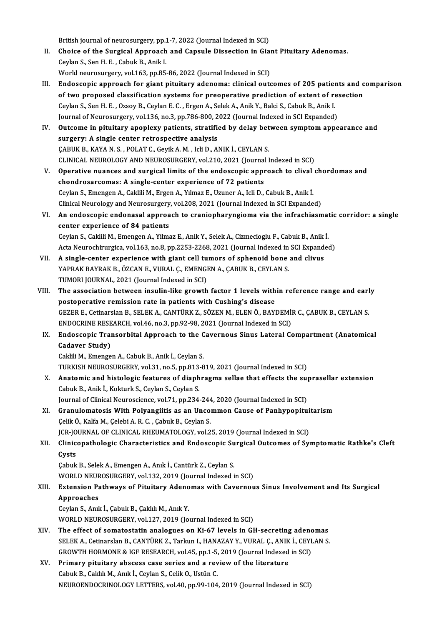British journal of neurosurgery, pp.1-7, 2022 (Journal Indexed in SCI)<br>Choise of the Surgical Annreach and Cancule Dissection in Cie

- British journal of neurosurgery, pp.1-7, 2022 (Journal Indexed in SCI)<br>II. Choice of the Surgical Approach and Capsule Dissection in Giant Pituitary Adenomas. British journal of neurosurgery, pp.1<br>Choice of the Surgical Approach<br>Ceylan S., Sen H. E. , Cabuk B., Anik I. Choice of the Surgical Approach and Capsule Dissection in Giam<br>Ceylan S., Sen H. E. , Cabuk B., Anik I.<br>World neurosurgery, vol.163, pp.85-86, 2022 (Journal Indexed in SCI)<br>Endessenis ennroach for sient nituitary adenema: Ceylan S., Sen H. E. , Cabuk B., Anik I.<br>World neurosurgery, vol.163, pp.85-86, 2022 (Journal Indexed in SCI)<br>III. Endoscopic approach for giant pituitary adenoma: clinical outcomes of 205 patients and comparison<br>of two pr
- World neurosurgery, vol.163, pp.85-86, 2022 (Journal Indexed in SCI)<br>Endoscopic approach for giant pituitary adenoma: clinical outcomes of 205 patients and c<br>of two proposed classification systems for preoperative predicti Endoscopic approach for giant pituitary adenoma: clinical outcomes of 205 patienties of two proposed classification systems for preoperative prediction of extent of recylan S., Sen H. E. , Ozsoy B., Ceylan E. C. , Ergen A. of two proposed classification systems for preoperative prediction of extent of resection<br>Ceylan S., Sen H. E. , Ozsoy B., Ceylan E. C. , Ergen A., Selek A., Anik Y., Balci S., Cabuk B., Anik I. Ceylan S., Sen H. E. , Ozsoy B., Ceylan E. C. , Ergen A., Selek A., Anik Y., Balci S., Cabuk B., Anik I.<br>Journal of Neurosurgery, vol.136, no.3, pp.786-800, 2022 (Journal Indexed in SCI Expanded)<br>IV. Outcome in pituitary a

|     | Journal of Neurosurgery, vol.136, no.3, pp.786-800, 2022 (Journal Indexed in SCI Expanded) |
|-----|--------------------------------------------------------------------------------------------|
| IV. | Outcome in pituitary apoplexy patients, stratified by delay between symptom appearance an  |
|     | surgery: A single center retrospective analysis                                            |
|     | ÇABUK B., KAYA N. S., POLAT C., Geyik A. M., Icli D., ANIK İ., CEYLAN S.                   |
|     | CLINICAL NEUROLOGY AND NEUROSURGERY, vol.210, 2021 (Journal Indexed in SCI)                |
| V.  | Operative nuances and surgical limits of the endoscopic approach to clival chordomas and   |
|     | chandrosensemes: A single senter experience of 72 notionts                                 |

- chondrosarcomas: A single-center experience of 72 patients Operative nuances and surgical limits of the endoscopic approach to clival<br>chondrosarcomas: A single-center experience of 72 patients<br>Ceylan S., Emengen A., Caklili M., Ergen A., Yılmaz E., Uzuner A., Icli D., Cabuk B., An Clinical Neurology and Neurosurgery, vol.208, 2021 (Journal Indexed in SCI Expanded) Ceylan S., Emengen A., Caklili M., Ergen A., Yılmaz E., Uzuner A., Icli D., Cabuk B., Anik İ.<br>Clinical Neurology and Neurosurgery, vol.208, 2021 (Journal Indexed in SCI Expanded)<br>VI. An endoscopic endonasal approach to cra
- Clinical Neurology and Neurosurgery<br>An endoscopic endonasal approa<br>center experience of 84 patients<br>Ceulan S. Celdili M. Emengen A. Vilme An endoscopic endonasal approach to craniopharyngioma via the infrachiasmat<br>center experience of 84 patients<br>Ceylan S., Caklili M., Emengen A., Yilmaz E., Anik Y., Selek A., Cizmecioglu F., Cabuk B., Anik İ.<br>Asta Naunashim center experience of 84 patients<br>Ceylan S., Caklili M., Emengen A., Yilmaz E., Anik Y., Selek A., Cizmecioglu F., Cabuk B., Anik İ.<br>Acta Neurochirurgica, vol.163, no.8, pp.2253-2268, 2021 (Journal Indexed in SCI Expanded)<br> Ceylan S., Caklili M., Emengen A., Yilmaz E., Anik Y., Selek A., Cizmecioglu F., Cabuk B., Anik<br>Acta Neurochirurgica, vol.163, no.8, pp.2253-2268, 2021 (Journal Indexed in SCI Expandent Cel tumors of sphenoid bone and cliv

- Acta Neurochirurgica, vol.163, no.8, pp.2253-2268, 2021 (Journal Indexed in<br>A single-center experience with giant cell tumors of sphenoid bone<br>YAPRAK BAYRAK B., ÖZCAN E., VURAL Ç., EMENGEN A., ÇABUK B., CEYLAN S.<br>TUMORLIQU VII. A single-center experience with giant cell tumors of sphenoid bone and clivus<br>YAPRAK BAYRAK B., ÖZCAN E., VURAL Ç., EMENGEN A., ÇABUK B., CEYLAN S.<br>TUMORI JOURNAL, 2021 (Journal Indexed in SCI) YAPRAK BAYRAK B., ÖZCAN E., VURAL Ç., EMENGEN A., ÇABUK B., CEYLAN S.<br>TUMORI JOURNAL, 2021 (Journal Indexed in SCI)<br>VIII. The association between insulin-like growth factor 1 levels within reference range and early<br>nectone
- TUMORI JOURNAL, 2021 (Journal Indexed in SCI)<br>The association between insulin-like growth factor 1 levels with<br>postoperative remission rate in patients with Cushing's disease<br>CEZER E. Cotinarson B. SELEKA, CANTÜRKZ, SÖZEN The association between insulin-like growth factor 1 levels within reference range and earl<br>postoperative remission rate in patients with Cushing's disease<br>GEZER E., Cetinarslan B., SELEK A., CANTÜRK Z., SÖZEN M., ELEN Ö., postoperative remission rate in patients with Cushing's disease<br>GEZER E., Cetinarslan B., SELEK A., CANTÜRK Z., SÖZEN M., ELEN Ö., BAYDEMİ!<br>ENDOCRINE RESEARCH, vol.46, no.3, pp.92-98, 2021 (Journal Indexed in SCI)<br>Endossen GEZER E., Cetinarslan B., SELEK A., CANTÜRK Z., SÖZEN M., ELEN Ö., BAYDEMİR C., ÇABUK B., CEYLAN S.<br>ENDOCRINE RESEARCH, vol.46, no.3, pp.92-98, 2021 (Journal Indexed in SCI)<br>IX. Endoscopic Transorbital Approach to the Cave
- ENDOCRINE RESEARCH, vol.46, no.3, pp.92-98, 2021 (Journal Indexed in SCI)<br>Endoscopic Transorbital Approach to the Cavernous Sinus Lateral C<br>Cadaver Study)<br>Caklili M., Emengen A., Cabuk B., Anik İ., Ceylan S. IX. Endoscopic Transorbital Approach to the Cavernous Sinus Lateral Compartment (Anatomical

TURKISH NEUROSURGERY, vol.31, no.5, pp.813-819, 2021 (Journal Indexed in SCI)

- Caklili M., Emengen A., Cabuk B., Anik İ., Ceylan S.<br>TURKISH NEUROSURGERY, vol.31, no.5, pp.813-819, 2021 (Journal Indexed in SCI)<br>X. Anatomic and histologic features of diaphragma sellae that effects the suprasellar exten TURKISH NEUROSURGERY, vol.31, no.5, pp.813<br>Anatomic and histologic features of diaph<br>Cabuk B., Anik İ., Kokturk S., Ceylan S., Ceylan S.<br>Journal of Clinical Neurossiance, vol.71, np.334 Anatomic and histologic features of diaphragma sellae that effects the sup<br>Cabuk B., Anik İ., Kokturk S., Ceylan S., Ceylan S.<br>Journal of Clinical Neuroscience, vol.71, pp.234-244, 2020 (Journal Indexed in SCI)<br>Cranulamata Cabuk B., Anik İ., Kokturk S., Ceylan S., Ceylan S.<br>Journal of Clinical Neuroscience, vol.71, pp.234-244, 2020 (Journal Indexed in SCI)<br>XI. Granulomatosis With Polyangiitis as an Uncommon Cause of Panhypopituitarism
- Journal of Clinical Neuroscience, vol.71, pp.234-244<br>Granulomatosis With Polyangiitis as an Unco:<br>Çelik Ö., Kalfa M., Çelebi A. R. C. , Çabuk B., Ceylan S.<br>ICR JOURNAL OF CLINICAL BHEUMATOLOGY vol.2 Granulomatosis With Polyangiitis as an Uncommon Cause of Panhypopitui<br>Çelik Ö., Kalfa M., Çelebi A. R. C. , Çabuk B., Ceylan S.<br>JCR-JOURNAL OF CLINICAL RHEUMATOLOGY, vol.25, 2019 (Journal Indexed in SCI)<br>Cliniconathologic Celik Ö., Kalfa M., Çelebi A. R. C. , Çabuk B., Ceylan S.<br>JCR-JOURNAL OF CLINICAL RHEUMATOLOGY, vol.25, 2019 (Journal Indexed in SCI)<br>XII. Clinicopathologic Characteristics and Endoscopic Surgical Outcomes of Symptomat
- JCR-JO<br>Clinic<br>Cysts<br>Cabuk Clinicopathologic Characteristics and Endoscopic Su<br>Cysts<br>Çabuk B., Selek A., Emengen A., Anık İ., Cantürk Z., Ceylan S.<br>WORLD NEUROSURCERY vel 122, 2019 (Journal Indoved i

Cysts<br>Çabuk B., Selek A., Emengen A., Anık İ., Cantürk Z., Ceylan S.<br>WORLD NEUROSURGERY, vol.132, 2019 (Journal Indexed in SCI)<br>Extension Bethwews of Bitvitery, Adenemes with Cayerney

## Cabuk B., Selek A., Emengen A., Anık İ., Cantürk Z., Ceylan S.<br>WORLD NEUROSURGERY, vol.132, 2019 (Journal Indexed in SCI)<br>XIII. Extension Pathways of Pituitary Adenomas with Cavernous Sinus Involvement and Its Surgical WORLD NEUF<br>Extension Pa<br>Approaches<br>Cevlan S. Apri Extension Pathways of Pituitary Adeno<br>Approaches<br>Ceylan S., Anık İ., Çabuk B., Çaklılı M., Anık Y.<br>WORLD NEUROSURCERY vol 127, 2019 (Jo

Approaches<br>Ceylan S., Anık İ., Çabuk B., Çaklılı M., Anık Y.<br>WORLD NEUROSURGERY, vol.127, 2019 (Journal Indexed in SCI)

- XIV. The effect of somatostatin analogues on Ki-67 levels in GH-secreting adenomas SELEK A., Cetinarslan B., CANTÜRK Z., Tarkun I., HANAZAY Y., VURAL Ç., ANIK İ., CEYLAN S. The effect of somatostatin analogues on Ki-67 levels in GH-secreting adence SELEK A., Cetinarslan B., CANTÜRK Z., Tarkun I., HANAZAY Y., VURAL Ç., ANIK İ., CEYL<br>GROWTH HORMONE & IGF RESEARCH, vol.45, pp.1-5, 2019 (Journal SELEK A., Cetinarslan B., CANTÜRK Z., Tarkun I., HANAZAY Y., VURAL Ç., ANIK<br>GROWTH HORMONE & IGF RESEARCH, vol.45, pp.1-5, 2019 (Journal Indexed<br>XV. Primary pituitary abscess case series and a review of the literature<br>Cebu
- GROWTH HORMONE & IGF RESEARCH, vol.45, pp.1-5,<br>Primary pituitary abscess case series and a rev<br>Cabuk B., Caklılı M., Anık İ., Ceylan S., Celik O., Ustün C.<br>NEUPOENDOCPINOLOCY LETTEPS vol.40, pp.99,104 Primary pituitary abscess case series and a review of the literature<br>Cabuk B., Caklılı M., Anık İ., Ceylan S., Celik O., Ustün C.<br>NEUROENDOCRINOLOGY LETTERS, vol.40, pp.99-104, 2019 (Journal Indexed in SCI)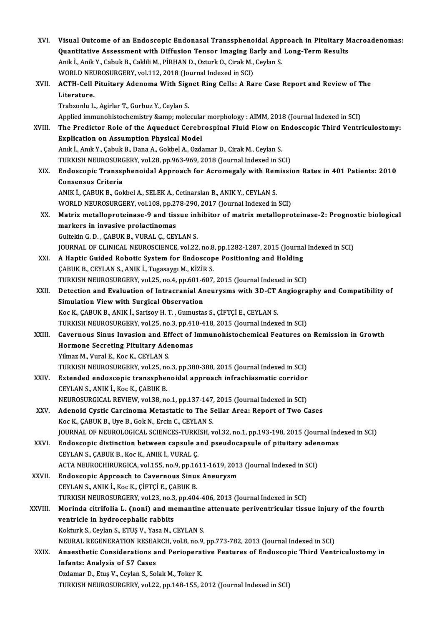| XVI.         | Visual Outcome of an Endoscopic Endonasal Transsphenoidal Approach in Pituitary Macroadenomas:                                   |
|--------------|----------------------------------------------------------------------------------------------------------------------------------|
|              | Quantitative Assessment with Diffusion Tensor Imaging Early and Long-Term Results                                                |
|              | Anik İ., Anik Y., Cabuk B., Caklili M., PİRHAN D., Ozturk O., Cirak M., Ceylan S.                                                |
|              | WORLD NEUROSURGERY, vol.112, 2018 (Journal Indexed in SCI)                                                                       |
| XVII.        | ACTH-Cell Pituitary Adenoma With Signet Ring Cells: A Rare Case Report and Review of The                                         |
|              | Literature.                                                                                                                      |
|              | Trabzonlu L., Agirlar T., Gurbuz Y., Ceylan S.                                                                                   |
|              | Applied immunohistochemistry & molecular morphology : AIMM, 2018 (Journal Indexed in SCI)                                        |
| XVIII.       | The Predictor Role of the Aqueduct Cerebrospinal Fluid Flow on Endoscopic Third Ventriculostomy:                                 |
|              | <b>Explication on Assumption Physical Model</b>                                                                                  |
|              | Anık İ., Anık Y., Çabuk B., Dana A., Gokbel A., Ozdamar D., Cirak M., Ceylan S.                                                  |
|              | TURKISH NEUROSURGERY, vol.28, pp.963-969, 2018 (Journal Indexed in SCI)                                                          |
| XIX.         | Endoscopic Transsphenoidal Approach for Acromegaly with Remission Rates in 401 Patients: 2010                                    |
|              | Consensus Criteria                                                                                                               |
|              | ANIK İ., ÇABUK B., Gokbel A., SELEK A., Cetinarslan B., ANIK Y., CEYLAN S.                                                       |
|              | WORLD NEUROSURGERY, vol.108, pp.278-290, 2017 (Journal Indexed in SCI)                                                           |
| XX.          | Matrix metalloproteinase-9 and tissue inhibitor of matrix metalloproteinase-2: Prognostic biological                             |
|              | markers in invasive prolactinomas                                                                                                |
|              | Gultekin G. D., ÇABUK B., VURAL Ç., CEYLAN S.                                                                                    |
|              | JOURNAL OF CLINICAL NEUROSCIENCE, vol.22, no.8, pp.1282-1287, 2015 (Journal Indexed in SCI)                                      |
| XXI.         | A Haptic Guided Robotic System for Endoscope Positioning and Holding                                                             |
|              | ÇABUK B., CEYLAN S., ANIK İ., Tugasaygı M., KİZİR S.                                                                             |
|              | TURKISH NEUROSURGERY, vol.25, no.4, pp.601-607, 2015 (Journal Indexed in SCI)                                                    |
| XXII.        | Detection and Evaluation of Intracranial Aneurysms with 3D-CT Angiography and Compatibility of                                   |
|              | Simulation View with Surgical Observation                                                                                        |
|              | Koc K., ÇABUK B., ANIK İ., Sarisoy H. T., Gumustas S., ÇİFTÇİ E., CEYLAN S.                                                      |
|              | TURKISH NEUROSURGERY, vol.25, no.3, pp.410-418, 2015 (Journal Indexed in SCI)                                                    |
| XXIII.       | Cavernous Sinus Invasion and Effect of Immunohistochemical Features on Remission in Growth                                       |
|              | Hormone Secreting Pituitary Adenomas                                                                                             |
|              | Yilmaz M., Vural E., Koc K., CEYLAN S.                                                                                           |
|              | TURKISH NEUROSURGERY, vol.25, no.3, pp.380-388, 2015 (Journal Indexed in SCI)                                                    |
| XXIV.        | Extended endoscopic transsphenoidal approach infrachiasmatic corridor                                                            |
|              | CEYLAN S., ANIK İ., Koc K., ÇABUK B.                                                                                             |
|              | NEUROSURGICAL REVIEW, vol.38, no.1, pp.137-147, 2015 (Journal Indexed in SCI)                                                    |
|              | Adenoid Cystic Carcinoma Metastatic to The Sellar Area: Report of Two Cases                                                      |
| XXV.         | Koc K., CABUK B., Uye B., Gok N., Ercin C., CEYLAN S.                                                                            |
|              | JOURNAL OF NEUROLOGICAL SCIENCES-TURKISH, vol.32, no.1, pp.193-198, 2015 (Journal Indexed in SCI)                                |
|              |                                                                                                                                  |
| XXVI.        | Endoscopic distinction between capsule and pseudocapsule of pituitary adenomas<br>CEYLAN S., ÇABUK B., Koc K., ANIK İ., VURAL Ç. |
|              |                                                                                                                                  |
|              | ACTA NEUROCHIRURGICA, vol.155, no.9, pp.1611-1619, 2013 (Journal Indexed in SCI)                                                 |
| <b>XXVII</b> | <b>Endoscopic Approach to Cavernous Sinus Aneurysm</b>                                                                           |
|              | CEYLAN S., ANIK İ., Koc K., ÇİFTÇİ E., ÇABUK B.                                                                                  |
|              | TURKISH NEUROSURGERY, vol.23, no.3, pp.404-406, 2013 (Journal Indexed in SCI)                                                    |
| XXVIII.      | Morinda citrifolia L. (noni) and memantine attenuate periventricular tissue injury of the fourth                                 |
|              | ventricle in hydrocephalic rabbits                                                                                               |
|              | Kokturk S., Ceylan S., ETUŞ V., Yasa N., CEYLAN S.                                                                               |
|              | NEURAL REGENERATION RESEARCH, vol.8, no.9, pp.773-782, 2013 (Journal Indexed in SCI)                                             |
| XXIX.        | Anaesthetic Considerations and Perioperative Features of Endoscopic Third Ventriculostomy in                                     |
|              | <b>Infants: Analysis of 57 Cases</b>                                                                                             |
|              | Ozdamar D., Etuş V., Ceylan S., Solak M., Toker K.                                                                               |
|              | TURKISH NEUROSURGERY, vol.22, pp.148-155, 2012 (Journal Indexed in SCI)                                                          |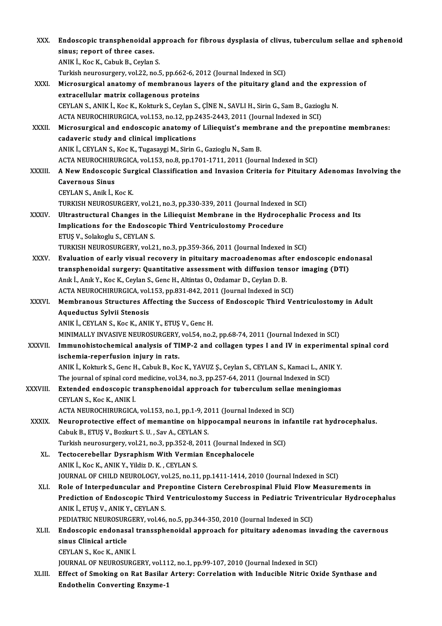| XXX.          | Endoscopic transphenoidal approach for fibrous dysplasia of clivus, tuberculum sellae and sphenoid  |
|---------------|-----------------------------------------------------------------------------------------------------|
|               | sinus; report of three cases.                                                                       |
|               | ANIK I., Koc K., Cabuk B., Ceylan S.                                                                |
|               | Turkish neurosurgery, vol.22, no.5, pp.662-6, 2012 (Journal Indexed in SCI)                         |
| XXXI.         | Microsurgical anatomy of membranous layers of the pituitary gland and the expression of             |
|               | extracellular matrix collagenous proteins                                                           |
|               | CEYLAN S., ANIK İ., Koc K., Kokturk S., Ceylan S., ÇİNE N., SAVLI H., Sirin G., Sam B., Gazioglu N. |
|               | ACTA NEUROCHIRURGICA, vol.153, no.12, pp.2435-2443, 2011 (Journal Indexed in SCI)                   |
| XXXII.        | Microsurgical and endoscopic anatomy of Liliequist's membrane and the prepontine membranes:         |
|               | cadaveric study and clinical implications                                                           |
|               | ANIK İ., CEYLAN S., Koc K., Tugasaygi M., Sirin G., Gazioglu N., Sam B.                             |
|               | ACTA NEUROCHIRURGICA, vol.153, no.8, pp.1701-1711, 2011 (Journal Indexed in SCI)                    |
| XXXIII.       | A New Endoscopic Surgical Classification and Invasion Criteria for Pituitary Adenomas Involving the |
|               | <b>Cavernous Sinus</b>                                                                              |
|               | CEYLAN S., Anik İ., Koc K.                                                                          |
|               | TURKISH NEUROSURGERY, vol.21, no.3, pp.330-339, 2011 (Journal Indexed in SCI)                       |
| <b>XXXIV</b>  | Ultrastructural Changes in the Liliequist Membrane in the Hydrocephalic Process and Its             |
|               |                                                                                                     |
|               | Implications for the Endoscopic Third Ventriculostomy Procedure                                     |
|               | ETUŞ V., Solakoglu S., CEYLAN S.                                                                    |
|               | TURKISH NEUROSURGERY, vol.21, no.3, pp.359-366, 2011 (Journal Indexed in SCI)                       |
| XXXV.         | Evaluation of early visual recovery in pituitary macroadenomas after endoscopic endonasal           |
|               | transphenoidal surgery: Quantitative assessment with diffusion tensor imaging (DTI)                 |
|               | Anık İ., Anık Y., Koc K., Ceylan S., Genc H., Altintas O., Ozdamar D., Ceylan D. B.                 |
|               | ACTA NEUROCHIRURGICA, vol.153, pp.831-842, 2011 (Journal Indexed in SCI)                            |
| <b>XXXVI</b>  | Membranous Structures Affecting the Success of Endoscopic Third Ventriculostomy in Adult            |
|               | Aqueductus Sylvii Stenosis                                                                          |
|               | ANIK I., CEYLAN S., Koc K., ANIK Y., ETUŞ V., Genc H.                                               |
|               | MINIMALLY INVASIVE NEUROSURGERY, vol.54, no.2, pp.68-74, 2011 (Journal Indexed in SCI)              |
| <b>XXXVII</b> | Immunohistochemical analysis of TIMP-2 and collagen types I and IV in experimental spinal cord      |
|               | ischemia-reperfusion injury in rats.                                                                |
|               | ANIK İ., Kokturk S., Genc H., Cabuk B., Koc K., YAVUZ Ş., Ceylan S., CEYLAN S., Kamaci L., ANIK Y.  |
|               | The journal of spinal cord medicine, vol.34, no.3, pp.257-64, 2011 (Journal Indexed in SCI)         |
| XXXVIII.      | Extended endoscopic transphenoidal approach for tuberculum sellae meningiomas                       |
|               | CEYLAN S., Koc K., ANIK İ.                                                                          |
|               | ACTA NEUROCHIRURGICA, vol.153, no.1, pp.1-9, 2011 (Journal Indexed in SCI)                          |
| <b>XXXIX</b>  | Neuroprotective effect of memantine on hippocampal neurons in infantile rat hydrocephalus.          |
|               | Cabuk B., ETUŞ V., Bozkurt S. U., Sav A., CEYLAN S.                                                 |
|               | Turkish neurosurgery, vol.21, no.3, pp.352-8, 2011 (Journal Indexed in SCI)                         |
| XL.           | Tectocerebellar Dysraphism With Vermian Encephalocele                                               |
|               | ANIK İ., Koc K., ANIK Y., Yildiz D. K., CEYLAN S.                                                   |
|               | JOURNAL OF CHILD NEUROLOGY, vol.25, no.11, pp.1411-1414, 2010 (Journal Indexed in SCI)              |
| XLI.          | Role of Interpeduncular and Prepontine Cistern Cerebrospinal Fluid Flow Measurements in             |
|               | Prediction of Endoscopic Third Ventriculostomy Success in Pediatric Triventricular Hydrocephalus    |
|               | ANIK İ., ETUŞ V., ANIK Y., CEYLAN S.                                                                |
|               | PEDIATRIC NEUROSURGERY, vol.46, no.5, pp.344-350, 2010 (Journal Indexed in SCI)                     |
| XLII.         | Endoscopic endonasal transsphenoidal approach for pituitary adenomas invading the cavernous         |
|               | sinus Clinical article                                                                              |
|               | CEYLAN S., Koc K., ANIK İ.                                                                          |
|               | JOURNAL OF NEUROSURGERY, vol.112, no.1, pp.99-107, 2010 (Journal Indexed in SCI)                    |
| XLIII.        | Effect of Smoking on Rat Basilar Artery: Correlation with Inducible Nitric Oxide Synthase and       |
|               | <b>Endothelin Converting Enzyme-1</b>                                                               |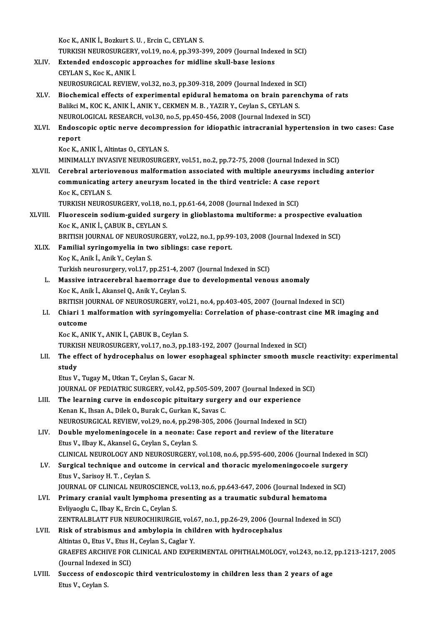KocK.,ANIKİ.,BozkurtS.U. ,ErcinC.,CEYLANS. Koc K., ANIK İ., Bozkurt S. U. , Ercin C., CEYLAN S.<br>TURKISH NEUROSURGERY, vol.19, no.4, pp.393-399, 2009 (Journal Indexed in SCI)<br>Extended endessenis annuasabes far midline skull bess lesians. XLIV. Extended endoscopic approaches for midline skull-base lesions<br>CEYLAN S. Koc K., ANIK I. TURKISH NEUROSURGERY<br>Extended endoscopic a<br>CEYLAN S., Koc K., ANIK İ.<br>NEUROSURGICAL REVIEW Extended endoscopic approaches for midline skull-base lesions<br>CEYLAN S., Koc K., ANIK İ.<br>NEUROSURGICAL REVIEW, vol.32, no.3, pp.309-318, 2009 (Journal Indexed in SCI)<br>Piechemical effects of experimental enidural hematema e CEYLAN S., Koc K., ANIK İ.<br>NEUROSURGICAL REVIEW, vol.32, no.3, pp.309-318, 2009 (Journal Indexed in SCI)<br>XLV. Biochemical effects of experimental epidural hematoma on brain parenchyma of rats<br>Paliksi M. KOC K. ANIK İ. ANIK NEUROSURGICAL REVIEW, vol.32, no.3, pp.309-318, 2009 (Journal Indexed in SC<br>Biochemical effects of experimental epidural hematoma on brain paren<br>Balikci M., KOC K., ANIK İ., ANIK Y., CEKMEN M. B. , YAZIR Y., Ceylan S., CEY Biochemical effects of experimental epidural hematoma on brain parenchy<br>Balikci M., KOC K., ANIK İ., ANIK Y., CEKMEN M. B. , YAZIR Y., Ceylan S., CEYLAN S.<br>NEUROLOGICAL RESEARCH, vol.30, no.5, pp.450-456, 2008 (Journal Ind Balikci M., KOC K., ANIK I., ANIK Y., CEKMEN M. B. , YAZIR Y., Ceylan S., CEYLAN S.<br>NEUROLOGICAL RESEARCH, vol.30, no.5, pp.450-456, 2008 (Journal Indexed in SCI)<br>XLVI. Endoscopic optic nerve decompression for idiopath NEUROI<br><mark>Endosc</mark><br>report Endoscopic optic nerve decompr<br>report<br>Koc K., ANIK İ., Altintas O., CEYLAN S.<br>MINIMALI V INVASIVE NEUPOSUPCE report<br>Koc K., ANIK İ., Altintas O., CEYLAN S.<br>MINIMALLY INVASIVE NEUROSURGERY, vol.51, no.2, pp.72-75, 2008 (Journal Indexed in SCI) XLVII. Cerebral arteriovenous malformation associated with multiple aneurysms including anterior MINIMALLY INVASIVE NEUROSURGERY, vol.51, no.2, pp.72-75, 2008 (Journal Indexed i<br>Cerebral arteriovenous malformation associated with multiple aneurysms incommunicating artery aneurysm located in the third ventricle: A case **Cerebral arterio<br>communicating<br>Koc K., CEYLAN S.<br>TURVISH NEUROS** communicating artery aneurysm located in the third ventricle: A case r<br>Koc K., CEYLAN S.<br>TURKISH NEUROSURGERY, vol.18, no.1, pp.61-64, 2008 (Journal Indexed in SCI)<br>Eluanoscoin aodium guided sungany in gliablestame multifo Koc K., CEYLAN S.<br>TURKISH NEUROSURGERY, vol.18, no.1, pp.61-64, 2008 (Journal Indexed in SCI)<br>XLVIII. Fluorescein sodium-guided surgery in glioblastoma multiforme: a prospective evaluation<br>Yes K. ANIK I. CARUK B. CEVLAN S. TURKISH NEUROSURGERY, vol.18, no<br>Fluorescein sodium-guided surg<br>Koc K., ANIK İ., ÇABUK B., CEYLAN S.<br>PRITISH JOURNAL OF NEUROSURCE Fluorescein sodium-guided surgery in glioblastoma multiforme: a prospective evalu<br>Koc K., ANIK İ., ÇABUK B., CEYLAN S.<br>BRITISH JOURNAL OF NEUROSURGERY, vol.22, no.1, pp.99-103, 2008 (Journal Indexed in SCI)<br>Familial suring Koc K., ANIK İ., ÇABUK B., CEYLAN S.<br>BRITISH JOURNAL OF NEUROSURGERY, vol.22, no.1, pp.99<br>XLIX. Familial syringomyelia in two siblings: case report.<br>Koç K., Anik İ., Anik Y., Ceylan S. BRITISH JOURNAL OF NEUROSURGERY, vol.22, no.1, pp.99-103, 2008 (Journal Indexed in SCI) Turkish neurosurgery, vol.17, pp.251-4, 2007 (Journal Indexed in SCI) Koç K., Anik İ., Anik Y., Ceylan S.<br>Turkish neurosurgery, vol.17, pp.251-4, 2007 (Journal Indexed in SCI)<br>L. Massive intracerebral haemorrage due to developmental venous anomaly<br>Kes K. Anik İ. Akansel Q. Anik Y. Ceylan S. Turkish neurosurgery, vol.17, pp.251-4, 20<br>Massive intracerebral haemorrage du<br>Koc K., Anik İ., Akansel Q., Anik Y., Ceylan S.<br>PRITISH JOURNAL OF NEUROSURCERY VO Massive intracerebral haemorrage due to developmental venous anomaly<br>Koc K., Anik İ., Akansel Q., Anik Y., Ceylan S.<br>BRITISH JOURNAL OF NEUROSURGERY, vol.21, no.4, pp.403-405, 2007 (Journal Indexed in SCI)<br>Chiari 1 malform Koc K., Anik İ., Akansel Q., Anik Y., Ceylan S.<br>BRITISH JOURNAL OF NEUROSURGERY, vol.21, no.4, pp.403-405, 2007 (Journal Indexed in SCI)<br>LI. Chiari 1 malformation with syringomyelia: Correlation of phase-contrast cine M BRITISH JONE<br>Chiari 1 1<br>outcome LI. Chiari 1 malformation with syringomyelia: Correlation of phase-contrast cine MR imaging and outcome<br>outcome<br>Koc K., ANIK Y., ANIK İ., ÇABUK B., Ceylan S. outcome<br>Koc K., ANIK Y., ANIK İ., ÇABUK B., Ceylan S.<br>TURKISH NEUROSURGERY, vol.17, no.3, pp.183-192, 2007 (Journal Indexed in SCI)<br>The effect of hydrosenhelys en Jower esenhageel sphingter smeeth muse Koc K., ANIK Y., ANIK İ., ÇABUK B., Ceylan S.<br>TURKISH NEUROSURGERY, vol.17, no.3, pp.183-192, 2007 (Journal Indexed in SCI)<br>LII. The effect of hydrocephalus on lower esophageal sphincter smooth muscle reactivity: exper TURKIS<br>The ef<br>study<br>Etus V The effect of hydrocephalus on lower es<br>study<br>Etus V., Tugay M., Utkan T., Ceylan S., Gacar N.<br>JOUPMAL OF PEDIATRIC SURCERY vol.43. nn study<br>Etus V., Tugay M., Utkan T., Ceylan S., Gacar N.<br>JOURNAL OF PEDIATRIC SURGERY, vol.42, pp.505-509, 2007 (Journal Indexed in SCI)<br>The Joanning cunue in ondoasonis pituitany surgery and our experience Etus V., Tugay M., Utkan T., Ceylan S., Gacar N.<br>JOURNAL OF PEDIATRIC SURGERY, vol.42, pp.505-509, 2007 (Journal Indexed in<br>LIII. The learning curve in endoscopic pituitary surgery and our experience<br>Kopen K. Ibeen A. Dile JOURNAL OF PEDIATRIC SURGERY, vol.42, pp.505-509, 2<br>The learning curve in endoscopic pituitary surger<br>Kenan K., Ihsan A., Dilek O., Burak C., Gurkan K., Savas C.<br>NEUDOSURCICAL PEVIEW. vol.20, po.4, pp.208, 205, 200 LIII. The learning curve in endoscopic pituitary surgery and our experience<br>Kenan K., Ihsan A., Dilek O., Burak C., Gurkan K., Savas C.<br>NEUROSURGICAL REVIEW, vol.29, no.4, pp.298-305, 2006 (Journal Indexed in SCI) LIV. Doublemyelomeningocele in a neonate: Case report and reviewof the literature Etus V., Ilbay K., Akansel G., Ceylan S., Ceylan S. Double myelomeningocele in a neonate: Case report and review of the literature<br>Etus V., Ilbay K., Akansel G., Ceylan S., Ceylan S.<br>CLINICAL NEUROLOGY AND NEUROSURGERY, vol.108, no.6, pp.595-600, 2006 (Journal Indexed in SC Etus V., Ilbay K., Akansel G., Ceylan S., Ceylan S.<br>CLINICAL NEUROLOGY AND NEUROSURGERY, vol.108, no.6, pp.595-600, 2006 (Journal Indexed in LV.<br>LV. Surgical technique and outcome in cervical and thoracic myelomeningocoele CLINICAL NEUROLOGY AND NI<br>Surgical technique and outo<br>Etus V., Sarisoy H. T. , Ceylan S.<br>JOUPMAL OF CLINICAL NEURO LV. Surgical technique and outcome in cervical and thoracic myelomeningocoele surgery<br>Etus V., Sarisoy H. T. , Ceylan S.<br>JOURNAL OF CLINICAL NEUROSCIENCE, vol.13, no.6, pp.643-647, 2006 (Journal Indexed in SCI) Etus V., Sarisoy H. T. , Ceylan S.<br>JOURNAL OF CLINICAL NEUROSCIENCE, vol.13, no.6, pp.643-647, 2006 (Journal Indexed in<br>LVI. Primary cranial vault lymphoma presenting as a traumatic subdural hematoma **JOURNAL OF CLINICAL NEUROSCIENCE<br>Primary cranial vault lymphoma pr<br>Evliyaoglu C., Ilbay K., Ercin C., Ceylan S.<br>ZENTP ALBLATT EUR NEUROCHIBURCU** Primary cranial vault lymphoma presenting as a traumatic subdural hematoma<br>Evliyaoglu C., Ilbay K., Ercin C., Ceylan S.<br>ZENTRALBLATT FUR NEUROCHIRURGIE, vol.67, no.1, pp.26-29, 2006 (Journal Indexed in SCI)<br>Bisk of strabis Evliyaoglu C., Ilbay K., Ercin C., Ceylan S.<br>ZENTRALBLATT FUR NEUROCHIRURGIE, vol.67, no.1, pp.26-29, 2006 (Journal Indexed in SCI)<br>LVII. Risk of strabismus and ambylopia in children with hydrocephalus Altintas O., Etus V., Etus H., Ceylan S., Caglar Y. Risk of strabismus and ambylopia in children with hydrocephalus<br>Altintas O., Etus V., Etus H., Ceylan S., Caglar Y.<br>GRAEFES ARCHIVE FOR CLINICAL AND EXPERIMENTAL OPHTHALMOLOGY, vol.243, no.12, pp.1213-1217, 2005<br>(Jaunnal I Altintas O., Etus V., Etus H<br>GRAEFES ARCHIVE FOR<br>(Journal Indexed in SCI)<br>Suggeon of andescenia GRAEFES ARCHIVE FOR CLINICAL AND EXPERIMENTAL OPHTHALMOLOGY, vol.243, no.12,<br>(Journal Indexed in SCI)<br>LVIII. Success of endoscopic third ventriculostomy in children less than 2 years of age (Journal Indexed in SCI)<br>Success of endoscopic third ventriculostomy in children less than 2 years of age<br>Etus V., Ceylan S.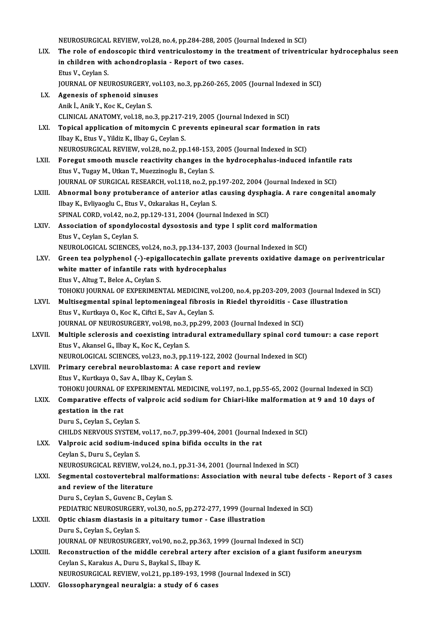NEUROSURGICAL REVIEW, vol.28, no.4, pp.284-288, 2005 (Journal Indexed in SCI)

- NEUROSURGICAL REVIEW, vol.28, no.4, pp.284-288, 2005 (Journal Indexed in SCI)<br>LIX. The role of endoscopic third ventriculostomy in the treatment of triventricular hydrocephalus seen<br>in children with eshandraplasia. Bapart NEUROSURGICAL REVIEW, vol.28, no.4, pp.284-288, 2005 (Journal of the role of endoscopic third ventriculostomy in the train children with achondroplasia - Report of two cases. The role of end<br>in children with<br>Etus V., Ceylan S.<br>JOUDNAL OF NEL in children with achondroplasia - Report of two cases.<br>Etus V., Ceylan S.<br>JOURNAL OF NEUROSURGERY, vol.103, no.3, pp.260-265, 2005 (Journal Indexed in SCI)<br>Agenesis of sphenoid sinuses. Etus V., Ceylan S.<br>JOURNAL OF NEUROSURGERY, vo<br>LX. Agenesis of sphenoid sinuses<br>Anik İ., Anik Y., Koc K., Ceylan S. JOURNAL OF NEUROSURGERY,<br>Agenesis of sphenoid sinuse<br>Anik İ., Anik Y., Koc K., Ceylan S.<br>CLINICAL ANATOMY .vol 19. no
	- CLINICAL ANATOMY, vol.18, no.3, pp.217-219, 2005 (Journal Indexed in SCI)
- Anik İ., Anik Y., Koc K., Ceylan S.<br>CLINICAL ANATOMY, vol.18, no.3, pp.217-219, 2005 (Journal Indexed in SCI)<br>LXI. Topical application of mitomycin C prevents epineural scar formation in rats<br>
Ilbay K. Fiye V. Vildir K CLINICAL ANATOMY, vol.18, no.3, pp.217-2<br>**Topical application of mitomycin C pr**<br>Ilbay K., Etus V., Yildiz K., Ilbay G., Ceylan S.<br>NEUPOSURCICAL PEVIEW, vol.28, no.2, nn Topical application of mitomycin C prevents epineural scar formation in 1<br>Ilbay K., Etus V., Yildiz K., Ilbay G., Ceylan S.<br>NEUROSURGICAL REVIEW, vol.28, no.2, pp.148-153, 2005 (Journal Indexed in SCI)<br>Foregut smooth mussl Ilbay K., Etus V., Yildiz K., Ilbay G., Ceylan S.<br>NEUROSURGICAL REVIEW, vol.28, no.2, pp.148-153, 2005 (Journal Indexed in SCI)<br>LXII. Foregut smooth muscle reactivity changes in the hydrocephalus-induced infantile rats
- EtusV.,TugayM.,UtkanT.,MuezzinogluB.,CeylanS. Foregut smooth muscle reactivity changes in the hydrocephalus-induced infantile<br>Etus V., Tugay M., Utkan T., Muezzinoglu B., Ceylan S.<br>JOURNAL OF SURGICAL RESEARCH, vol.118, no.2, pp.197-202, 2004 (Journal Indexed in SCI)<br> Etus V., Tugay M., Utkan T., Muezzinoglu B., Ceylan S.<br>JOURNAL OF SURGICAL RESEARCH, vol.118, no.2, pp.197-202, 2004 (Journal Indexed in SCI)<br>LXIII. Abnormal bony protuberance of anterior atlas causing dysphagia. A rare co
- JOURNAL OF SURGICAL RESEARCH, vol.118, no.2, pp.<br>**Abnormal bony protuberance of anterior atlas**<br>Ilbay K., Evliyaoglu C., Etus V., Ozkarakas H., Ceylan S. Abnormal bony protuberance of anterior atlas causing dyspha<br>Ilbay K., Evliyaoglu C., Etus V., Ozkarakas H., Ceylan S.<br>SPINAL CORD, vol.42, no.2, pp.129-131, 2004 (Journal Indexed in SCI)<br>Association of spondylosestal dysos Ilbay K., Evliyaoglu C., Etus V., Ozkarakas H., Ceylan S.<br>SPINAL CORD, vol.42, no.2, pp.129-131, 2004 (Journal Indexed in SCI)<br>LXIV. Association of spondylocostal dysostosis and type I split cord malformation
- SPINAL CORD, vol.42, no.2,<br>Association of spondylo<br>Etus V., Ceylan S., Ceylan S.<br>NEUDOLOCICAL SCIENCES Association of spondylocostal dysostosis and type I split cord malformati<br>Etus V., Ceylan S., Ceylan S.<br>NEUROLOGICAL SCIENCES, vol.24, no.3, pp.134-137, 2003 (Journal Indexed in SCI)<br>Creen tee polyphonel ( ) enigellogatesh
- Etus V., Ceylan S., Ceylan S.<br>NEUROLOGICAL SCIENCES, vol.24, no.3, pp.134-137, 2003 (Journal Indexed in SCI)<br>LXV. Green tea polyphenol (-)-epigallocatechin gallate prevents oxidative damage on periventricular<br>white matter NEUROLOGICAL SCIENCES, vol.24, no.3, pp.134-137, 2003 (Journal Indexed in SCI)<br>Green tea polyphenol (-)-epigallocatechin gallate prevents oxidative dam<br>white matter of infantile rats with hydrocephalus<br>Etus V., Altug T., B Green tea polyphenol (-)-epig;<br>white matter of infantile rats v<br>Etus V., Altug T., Belce A., Ceylan S.<br>TOHOKU JOUPNAL OF EYPEPIMEN white matter of infantile rats with hydrocephalus<br>Etus V., Altug T., Belce A., Ceylan S.<br>TOHOKU JOURNAL OF EXPERIMENTAL MEDICINE, vol.200, no.4, pp.203-209, 2003 (Journal Indexed in SCI)<br>Multisesmental spinal leptemeningse Etus V., Altug T., Belce A., Ceylan S.<br>TOHOKU JOURNAL OF EXPERIMENTAL MEDICINE, vol.200, no.4, pp.203-209, 2003 (Journal Index<br>LXVI. Multisegmental spinal leptomeningeal fibrosis in Riedel thyroiditis - Case illustration
	-
- TOHOKU JOURNAL OF EXPERIMENTAL MEDICINE, v<br>Multisegmental spinal leptomeningeal fibrosis<br>Etus V., Kurtkaya O., Koc K., Ciftci E., Sav A., Ceylan S.<br>JOUPNAL OF NEUBOSUBCERY vol.98, no.3, np.399, ; LXVI. Multisegmental spinal leptomeningeal fibrosis in Riedel thyroiditis - Case illustration<br>Etus V., Kurtkaya O., Koc K., Ciftci E., Sav A., Ceylan S.<br>JOURNAL OF NEUROSURGERY, vol.98, no.3, pp.299, 2003 (Journal Indexed Etus V., Kurtkaya O., Koc K., Ciftci E., Sav A., Ceylan S.<br>JOURNAL OF NEUROSURGERY, vol.98, no.3, pp.299, 2003 (Journal Indexed in SCI)<br>LXVII. Multiple sclerosis and coexisting intradural extramedullary spinal cord tumour:
- Etus V., Akansel G., Ilbay K., Koc K., Ceylan S. Multiple sclerosis and coexisting intradural extramedullary spinal cord tu<br>Etus V., Akansel G., Ilbay K., Koc K., Ceylan S.<br>NEUROLOGICAL SCIENCES, vol.23, no.3, pp.119-122, 2002 (Journal Indexed in SCI)<br>Primery serebral ne Etus V., Akansel G., Ilbay K., Koc K., Ceylan S.<br>NEUROLOGICAL SCIENCES, vol.23, no.3, pp.119-122, 2002 (Journal I<br>LXVIII. Primary cerebral neuroblastoma: A case report and review
- NEUROLOGICAL SCIENCES, vol.23, no.3, pp.11<br>Primary cerebral neuroblastoma: A case<br>Etus V., Kurtkaya O., Sav A., Ilbay K., Ceylan S.<br>TOHOVILIOURNAL OF EXPERIMENTAL MEDI Primary cerebral neuroblastoma: A case report and review<br>Etus V., Kurtkaya O., Sav A., Ilbay K., Ceylan S.<br>TOHOKU JOURNAL OF EXPERIMENTAL MEDICINE, vol.197, no.1, pp.55-65, 2002 (Journal Indexed in SCI)<br>Componetive effects Etus V., Kurtkaya O., Sav A., Ilbay K., Ceylan S.<br>TOHOKU JOURNAL OF EXPERIMENTAL MEDICINE, vol.197, no.1, pp.55-65, 2002 (Journal Indexed in SCI)<br>LXIX. Comparative effects of valproic acid sodium for Chiari-like malformati

## TOHOKU JOURNAL OF<br>Comparative effects<br>gestation in the rat<br>Dum: S. Coylan S. Coy **Comparative effects of v<br>gestation in the rat<br>Duru S., Ceylan S., Ceylan S.<br>CHU DS NEDVOUS SYSTEM** gestation in the rat<br>Duru S., Ceylan S., Ceylan S.<br>CHILDS NERVOUS SYSTEM, vol.17, no.7, pp.399-404, 2001 (Journal Indexed in SCI) Duru S., Ceylan S., Ceylan S.<br>CHILDS NERVOUS SYSTEM, vol.17, no.7, pp.399-404, 2001 (Journal I<br>LXX. Valproic acid sodium-induced spina bifida occults in the rat<br>Ceylan S. Duru S. Ceylan S.

# CHILDS NERVOUS SYSTEM,<br>Valproic acid sodium-inc<br>Ceylan S., Duru S., Ceylan S.<br>NEUPOSUBCICAL BEVIEW

Ceylan S., Duru S., Ceylan S.<br>NEUROSURGICAL REVIEW, vol.24, no.1, pp.31-34, 2001 (Journal Indexed in SCI)

Ceylan S., Duru S., Ceylan S.<br>NEUROSURGICAL REVIEW, vol.24, no.1, pp.31-34, 2001 (Journal Indexed in SCI)<br>LXXI. Segmental costovertebral malformations: Association with neural tube defects - Report of 3 cases<br>and review of NEUROSURGICAL REVIEW, vol.2<br>Segmental costovertebral mand review of the literature Segmental costovertebral malforn<br>and review of the literature<br>Duru S., Ceylan S., Guvenc B., Ceylan S.<br>PEDIATRIC NEUROSURCERY .vel 30, n and review of the literature<br>Duru S., Ceylan S., Guvenc B., Ceylan S.<br>PEDIATRIC NEUROSURGERY, vol.30, no.5, pp.272-277, 1999 (Journal Indexed in SCI)<br>Ontis shinem diastasis in a nituitary tumor... Case illustration

Duru S., Ceylan S., Guvenc B., Ceylan S.<br>PEDIATRIC NEUROSURGERY, vol.30, no.5, pp.272-277, 1999 (Journal<br>LXXII. Optic chiasm diastasis in a pituitary tumor - Case illustration<br>Duru S., Ceylan S., Ceylan S. PEDIATRIC NEUROSURGER<br>Optic chiasm diastasis in<br>Duru S., Ceylan S., Ceylan S.<br>JOUPNAL OF NEUROSURCE Optic chiasm diastasis in a pituitary tumor - Case illustration<br>Duru S., Ceylan S., Ceylan S.<br>JOURNAL OF NEUROSURGERY, vol.90, no.2, pp.363, 1999 (Journal Indexed in SCI)<br>Reconstruction of the middle corphrel artery after

- Duru S., Ceylan S., Ceylan S.<br>JOURNAL OF NEUROSURGERY, vol.90, no.2, pp.363, 1999 (Journal Indexed in SCI)<br>LXXIII. Reconstruction of the middle cerebral artery after excision of a giant fusiform aneurysm JOURNAL OF NEUROSURGERY, vol.90, no.2, pp.3<br>Reconstruction of the middle cerebral art<br>Ceylan S., Karakus A., Duru S., Baykal S., Ilbay K.<br>NEUROSURCICAL REVIEW. vol.21, nn.189, 192 Reconstruction of the middle cerebral artery after excision of a gian<br>Ceylan S., Karakus A., Duru S., Baykal S., Ilbay K.<br>NEUROSURGICAL REVIEW, vol.21, pp.189-193, 1998 (Journal Indexed in SCI)<br>Clossenberungeal neurolsiaus Ceylan S., Karakus A., Duru S., Baykal S., Ilbay K.<br>NEUROSURGICAL REVIEW, vol.21, pp.189-193, 1998 (Journal Indexed in SCI)<br>LXXIV. Glossopharyngeal neuralgia: a study of 6 cases
-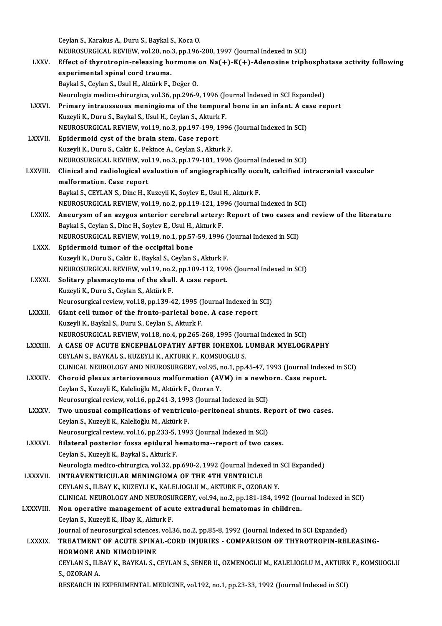CeylanS.,KarakusA.,Duru S.,BaykalS.,KocaO. Ceylan S., Karakus A., Duru S., Baykal S., Koca O.<br>NEUROSURGICAL REVIEW, vol.20, no.3, pp.196-200, 1997 (Journal Indexed in SCI)<br>Effect of thurotronin releasing hormone on Ne(+), K(+), Adenesine trinh LXXV. Effect of thyrotropin-releasing hormone on  $Na(+)-K(+)$ -Adenosine triphosphatase activity following experimental spinal cord trauma. NEUROSURGICAL REVIEW, vol.20, no.<br>Effect of thyrotropin-releasing ho<br>experimental spinal cord trauma.<br>Paylal S. Caylan S. Hayl H. Altürk E. Baykal S., Ceylan S., Usul H., Aktürk F., Değer O. Neurologia medico-chirurgica, vol.36, pp.296-9, 1996 (Journal Indexed in SCI Expanded) Baykal S., Ceylan S., Usul H., Aktürk F., Değer O.<br>Neurologia medico-chirurgica, vol.36, pp.296-9, 1996 (Journal Indexed in SCI Expanded)<br>LXXVI. Primary intraosseous meningioma of the temporal bone in an infant. A case rep Neurologia medico-chirurgica, vol.36, pp.296-9, 1996 (Jo<br>Primary intraosseous meningioma of the tempora<br>Kuzeyli K., Duru S., Baykal S., Usul H., Ceylan S., Akturk F.<br>NEUPOSUPCICAL PEVIEW, vol.19, no.3, np.197, 199, 199 Primary intraosseous meningioma of the temporal bone in an infant. A ca<br>Kuzeyli K., Duru S., Baykal S., Usul H., Ceylan S., Akturk F.<br>NEUROSURGICAL REVIEW, vol.19, no.3, pp.197-199, 1996 (Journal Indexed in SCI)<br>Enidermoid Kuzeyli K., Duru S., Baykal S., Usul H., Ceylan S., Akturk F.<br>NEUROSURGICAL REVIEW, vol.19, no.3, pp.197-199, 1996<br>LXXVII. Epidermoid cyst of the brain stem. Case report<br>Kuzeyli K., Duru S., Cakir E., Pekince A., Ceylan S. NEUROSURGICAL REVIEW, vol.19, no.3, pp.197-199, 1996 (Journal Indexed in SCI) NEUROSURGICAL REVIEW, vol.19, no.3, pp.179-181, 1996 (Journal Indexed in SCI) Kuzeyli K., Duru S., Cakir E., Pekince A., Ceylan S., Akturk F.<br>NEUROSURGICAL REVIEW, vol.19, no.3, pp.179-181, 1996 (Journal Indexed in SCI)<br>LXXVIII. Clinical and radiological evaluation of angiographically occult, ca MEUROSURGICAL REVIEW, vol<br>Clinical and radiological ev<br>malformation. Case report<br>Paylal S. CEVI AN S. Ding H. L malformation. Case report<br>Baykal S., CEYLAN S., Dinc H., Kuzeyli K., Soylev E., Usul H., Akturk F. malformation. Case report<br>Baykal S., CEYLAN S., Dinc H., Kuzeyli K., Soylev E., Usul H., Akturk F.<br>NEUROSURGICAL REVIEW, vol.19, no.2, pp.119-121, 1996 (Journal Indexed in SCI)<br>Anoususm of an asusos antonion senshrel astos Baykal S., CEYLAN S., Dinc H., Kuzeyli K., Soylev E., Usul H., Akturk F.<br>NEUROSURGICAL REVIEW, vol.19, no.2, pp.119-121, 1996 (Journal Indexed in SCI)<br>LXXIX. Aneurysm of an azygos anterior cerebral artery: Report of two ca NEUROSURGICAL REVIEW, vol.19, no.2, pp.119-121, 19<br>Aneurysm of an azygos anterior cerebral artery:<br>Baykal S., Ceylan S., Dinc H., Soylev E., Usul H., Akturk F.<br>NEUROSURCICAL REVIEW, vol.19, no.1, np.57, 59, 1996 Aneurysm of an azygos anterior cerebral artery: Report of two cases a<br>Baykal S., Ceylan S., Dinc H., Soylev E., Usul H., Akturk F.<br>NEUROSURGICAL REVIEW, vol.19, no.1, pp.57-59, 1996 (Journal Indexed in SCI)<br>Enidermoid tumo Baykal S., Ceylan S., Dinc H., Soylev E., Usul H., Akturk F.<br>NEUROSURGICAL REVIEW, vol.19, no.1, pp.57-59, 1996 (<br>LXXX. Epidermoid tumor of the occipital bone<br>Kuzeyli K., Duru S., Cakir E., Baykal S., Ceylan S., Akturk F. NEUROSURGICAL REVIEW, vol.19, no.1, pp.57-59, 1996 (Journal Indexed in SCI) NEUROSURGICAL REVIEW, vol.19, no.2, pp.109-112, 1996 (Journal Indexed in SCI) LXXXI. Solitary plasmacytoma of the skull. A case report. KuzeyliK.,Duru S.,CeylanS.,AktürkF. Solitary plasmacytoma of the skull. A case report.<br>Kuzeyli K., Duru S., Ceylan S., Aktürk F.<br>Neurosurgical review, vol.18, pp.139-42, 1995 (Journal Indexed in SCI)<br>Ciant cell tumor of the fronte parietal bone. A case repor LXXXII. Giant cell tumor of the fronto-parietal bone. A case report<br>Kuzeyli K., Baykal S., Duru S., Ceylan S., Akturk F. Neurosurgical review, vol.18, pp.139-42, 1995 ()<br>Giant cell tumor of the fronto-parietal bon<br>Kuzeyli K., Baykal S., Duru S., Ceylan S., Akturk F.<br>NEUPOSUPCICAL PEVIEW, vol.18, po.4, pp.365.2 NEUROSURGICAL REVIEW, vol.18, no.4, pp.265-268, 1995 (Journal Indexed in SCI) Kuzeyli K., Baykal S., Duru S., Ceylan S., Akturk F.<br>NEUROSURGICAL REVIEW, vol.18, no.4, pp.265-268, 1995 (Journal Indexed in SCI)<br>LXXXIII. A CASE OF ACUTE ENCEPHALOPATHY AFTER IOHEXOL LUMBAR MYELOGRAPHY NEUROSURGICAL REVIEW, vol.18, no.4, pp.265-268, 1995 (Jou<br>A CASE OF ACUTE ENCEPHALOPATHY AFTER IOHEXOL I<br>CEYLAN S., BAYKAL S., KUZEYLI K., AKTURK F., KOMSUOGLU S.<br>CLINICAL NEUROLOCY AND NEUROSURCERY vol.05, no.1, nn.4 A CASE OF ACUTE ENCEPHALOPATHY AFTER IOHEXOL LUMBAR MYELOGRAPHY<br>CEYLAN S., BAYKAL S., KUZEYLI K., AKTURK F., KOMSUOGLU S.<br>CLINICAL NEUROLOGY AND NEUROSURGERY, vol.95, no.1, pp.45-47, 1993 (Journal Indexed in SCI)<br>Chancid p CEYLAN S., BAYKAL S., KUZEYLI K., AKTURK F., KOMSUOGLU S.<br>CLINICAL NEUROLOGY AND NEUROSURGERY, vol.95, no.1, pp.45-47, 1993 (Journal Index<br>LXXXIV. Choroid plexus arteriovenous malformation (AVM) in a newborn. Case report. CLINICAL NEUROLOGY AND NEUROSURGERY, vol.95, 1<br>Choroid plexus arteriovenous malformation (AV<br>Ceylan S., Kuzeyli K., Kalelioğlu M., Aktürk F., Ozoran Y.<br>Naunosurgisal review. vol.16, np.241.2, 1992. (Jaunnal Choroid plexus arteriovenous malformation (AVM) in a newbo<br>Ceylan S., Kuzeyli K., Kalelioğlu M., Aktürk F., Ozoran Y.<br>Neurosurgical review, vol.16, pp.241-3, 1993 (Journal Indexed in SCI)<br>Two unuqual complications of ventr Ceylan S., Kuzeyli K., Kalelioğlu M., Aktürk F., Ozoran Y.<br>Neurosurgical review, vol.16, pp.241-3, 1993 (Journal Indexed in SCI)<br>LXXXV. Two unusual complications of ventriculo-peritoneal shunts. Report of two cases.<br>Ceylan Neurosurgical review, vol.16, pp.241-3, 199<br>**Two unusual complications of ventricu**<br>Ceylan S., Kuzeyli K., Kalelioğlu M., Aktürk F.<br>Naunosurgisal review, vol.16, np.222, E. 199 Two unusual complications of ventriculo-peritoneal shunts. Review, Kalelioğlu M., Aktürk F.<br>Ceylan S., Kuzeyli K., Kalelioğlu M., Aktürk F.<br>Neurosurgical review, vol.16, pp.233-5, 1993 (Journal Indexed in SCI)<br>Bilateral pe Ceylan S., Kuzeyli K., Kalelioğlu M., Aktürk F.<br>Neurosurgical review, vol.16, pp.233-5, 1993 (Journal Indexed in SCI)<br>LXXXVI. Bilateral posterior fossa epidural hematoma--report of two cases.<br>Ceylan S. Kuzeyli K. Baykal S. Neurosurgical review, vol.16, pp.233-5,<br>Bilateral posterior fossa epidural h<br>Ceylan S., Kuzeyli K., Baykal S., Akturk F.<br>Neurologia modice chimurgica vol.32, pr Ceylan S., Kuzeyli K., Baykal S., Akturk F.<br>Neurologia medico-chirurgica, vol.32, pp.690-2, 1992 (Journal Indexed in SCI Expanded) LXXXVII. INTRAVENTRICULAR MENINGIOMA OF THE 4TH VENTRICLE CEYLANS., ILBAYK.,KUZEYLIK.,KALELIOGLUM.,AKTURKF.,OZORANY. INTRAVENTRICULAR MENINGIOMA OF THE 4TH VENTRICLE<br>CEYLAN S., ILBAY K., KUZEYLI K., KALELIOGLU M., AKTURK F., OZORAN Y.<br>CLINICAL NEUROLOGY AND NEUROSURGERY, vol.94, no.2, pp.181-184, 1992 (Journal Indexed in SCI)<br>Nen energti LXXXVIII. Non operative management of acute extradural hematomas in children.<br>Ceylan S., Kuzeyli K., Ilbay K., Akturk F. CLINICAL NEUROLOGY AND NEUROSU<br>Non operative management of acu<br>Ceylan S., Kuzeyli K., Ilbay K., Akturk F.<br>Journal of nourosurgical sciences val. Journal of neurosurgical sciences, vol.36, no.2, pp.85-8, 1992 (Journal Indexed in SCI Expanded) Ceylan S., Kuzeyli K., Ilbay K., Akturk F.<br>Journal of neurosurgical sciences, vol.36, no.2, pp.85-8, 1992 (Journal Indexed in SCI Expanded)<br>LXXXIX. TREATMENT OF ACUTE SPINAL-CORD INJURIES - COMPARISON OF THYROTROPIN-RELEAS **Journal of neurosurgical sciences<br>TREATMENT OF ACUTE SPINA<br>HORMONE AND NIMODIPINE<br>CEVLANS HEAV K PAVKALS 4** TREATMENT OF ACUTE SPINAL-CORD INJURIES - COMPARISON OF THYROTROPIN-RELEASING-<br>HORMONE AND NIMODIPINE<br>CEYLAN S., ILBAY K., BAYKAL S., CEYLAN S., SENER U., OZMENOGLU M., KALELIOGLU M., AKTURK F., KOMSUOGLU<br>S. OZOPAN A HORMONE AND NIMODIPINE<br>CEYLAN S., ILBAY K., BAYKAL S., CEYLAN S., SENER U., OZMENOGLU M., KALELIOGLU M., AKTURK F., KOMSUOGLU<br>S., OZORAN A. RESEARCH IN EXPERIMENTAL MEDICINE, vol.192, no.1, pp.23-33, 1992 (Journal Indexed in SCI)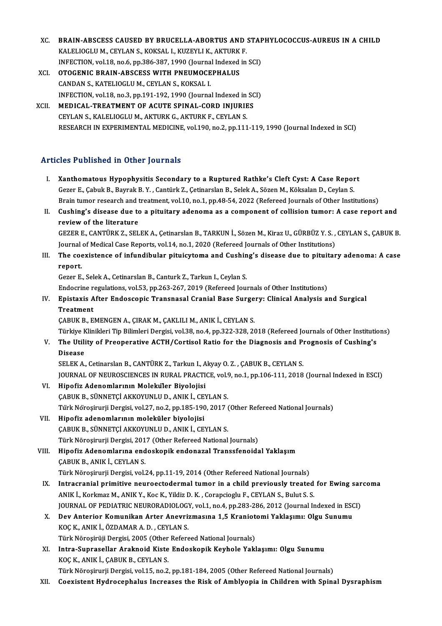- XC. BRAIN-ABSCESS CAUSED BY BRUCELLA-ABORTUS AND STAPHYLOCOCCUS-AUREUS IN A CHILD<br>KALELIOCLUM CEVLANS, KOKSAL L KUZEVLLK, AKTURK E BRAIN-ABSCESS CAUSED BY BRUCELLA-ABORTUS AND<br>KALELIOGLUM., CEYLAN S., KOKSAL I., KUZEYLI K., AKTURK F.<br>INEECTION vol.18, no.6, np.386,397,1900 (Jaunnal Indoved in BRAIN-ABSCESS CAUSED BY BRUCELLA-ABORTUS AND STAF<br>KALELIOGLU M., CEYLAN S., KOKSAL I., KUZEYLI K., AKTURK F.<br>INFECTION, vol.18, no.6, pp.386-387, 1990 (Journal Indexed in SCI)<br>OTOCENIC BRAIN ABSCESS WITH BNEUMOCERHALUS KALELIOGLU M., CEYLAN S., KOKSAL I., KUZEYLI K., AKTURK<br>INFECTION, vol.18, no.6, pp.386-387, 1990 (Journal Indexed<br>XCI. OTOGENIC BRAIN-ABSCESS WITH PNEUMOCEPHALUS
- INFECTION, vol.18, no.6, pp.386-387, 1990 (Journa<br>**OTOGENIC BRAIN-ABSCESS WITH PNEUMOCE**<br>CANDAN S., KATELIOGLU M., CEYLAN S., KOKSAL I.<br>INEECTION, vol.18, no.3, np.191, 192, 1990 (Journa CANDAN S., KATELIOGLU M., CEYLAN S., KOKSAL I.<br>INFECTION, vol.18, no.3, pp.191-192, 1990 (Journal Indexed in SCI) CANDAN S., KATELIOGLU M., CEYLAN S., KOKSAL I.<br>INFECTION, vol.18, no.3, pp.191-192, 1990 (Journal Indexed in SC<br>XCII. MEDICAL-TREATMENT OF ACUTE SPINAL-CORD INJURIES
- INFECTION, vol.18, no.3, pp.191-192, 1990 (Journal Indexed in<br>MEDICAL-TREATMENT OF ACUTE SPINAL-CORD INJURIE<br>CEYLAN S., KALELIOGLU M., AKTURK G., AKTURK F., CEYLAN S.<br>RESEARCH IN EXPERIMENTAL MEDICINE vol.190, no.2, nn.111 CEYLAN S., KALELIOGLU M., AKTURK G., AKTURK F., CEYLAN S.<br>RESEARCH IN EXPERIMENTAL MEDICINE, vol.190, no.2, pp.111-119, 1990 (Journal Indexed in SCI)

### Articles Published in Other Journals

- rticles Published in Other Journals<br>I. Xanthomatous Hypophysitis Secondary to a Ruptured Rathke's Cleft Cyst: A Case Report<br>Cerer E Cobult B, Bounal: B.V. Centürk Z, Cetiporskap B, Solek A, Sören M, Kölselap D, Ceylap S SEE TUBILDICU IN OTICI JOUTHUIB<br>Kanthomatous Hypophysitis Secondary to a Ruptured Rathke's Cleft Cyst: A Case Repor<br>Gezer E., Çabuk B., Bayrak B.Y. , Cantürk Z., Çetinarslan B., Selek A., Sözen M., Köksalan D., Ceylan S.<br>P Gezer E., Çabuk B., Bayrak B. Y. , Cantürk Z., Çetinarslan B., Selek A., Sözen M., Köksalan D., Ceylan S.<br>Brain tumor research and treatment, vol.10, no.1, pp.48-54, 2022 (Refereed Journals of Other Institutions) Gezer E., Çabuk B., Bayrak B. Y. , Cantürk Z., Çetinarslan B., Selek A., Sözen M., Köksalan D., Ceylan S.<br>Brain tumor research and treatment, vol.10, no.1, pp.48-54, 2022 (Refereed Journals of Other Institutions)<br>II. Cushi
- **Brain tumor research and t<br>Cushing's disease due to<br>review of the literature** Cushing's disease due to a pituitary adenoma as a component of collision tumor: A case report and<br>review of the literature<br>GEZER E., CANTÜRK Z., SELEK A., Çetinarslan B., TARKUN İ., Sözen M., Kiraz U., GÜRBÜZ Y. S. , CEYLA

review of the literature<br>GEZER E., CANTÜRK Z., SELEK A., Çetinarslan B., TARKUN İ., Sözen M., Kiraz U., GÜRBÜZ Y. S. ,<br>Journal of Medical Case Reports, vol.14, no.1, 2020 (Refereed Journals of Other Institutions)<br>The seevi Journal of Medical Case Reports, vol.14, no.1, 2020 (Refereed Journals of Other Institutions)

## III. The coexistence of infundibular pituicytoma and Cushing's disease due to pituitary adenoma: A case report. report.<br>Gezer E., Selek A., Cetinarslan B., Canturk Z., Tarkun I., Ceylan S.<br>Enistavis After Endossanis Transnasal Cranial Base Surgerw, Clinisal Analysis a

Gezer E.,SelekA.,CetinarslanB.,CanturkZ.,TarkunI.,CeylanS.

### Gezer E., Selek A., Cetinarslan B., Canturk Z., Tarkun I., Ceylan S.<br>Endocrine regulations, vol.53, pp.263-267, 2019 (Refereed Journals of Other Institutions)<br>IV. Epistaxis After Endoscopic Transnasal Cranial Base Surg Endocrine re<br>Epistaxis A<br>Treatment<br>CAPUV P-F Epistaxis After Endoscopic Transnasal Cranial Base Surge<br>Treatment<br>ÇABUK B., EMENGEN A., ÇIRAK M., ÇAKLILI M., ANIK İ., CEYLAN S.<br>Türkiye Klinikleri Tip Bilimleri Dergisi vel 28 no.4 nn 222 229 24 Treatment<br>ÇABUK B., EMENGEN A., ÇIRAK M., ÇAKLILI M., ANIK İ., CEYLAN S.<br>Türkiye Klinikleri Tip Bilimleri Dergisi, vol.38, no.4, pp.322-328, 2018 (Refereed Journals of Other Institutions)

CABUK B., EMENGEN A., CIRAK M., CAKLILI M., ANIK İ., CEYLAN S.<br>Türkiye Klinikleri Tip Bilimleri Dergisi, vol.38, no.4, pp.322-328, 2018 (Refereed Journals of Other Institutio<br>V. The Utility of Preoperative ACTH/Cortisol Ra Türkiye k<br><mark>The Utili</mark><br>Disease<br>SELEK A The Utility of Preoperative ACTH/Cortisol Ratio for the Diagnosis and Pi<br>Disease<br>SELEK A., Cetinarslan B., CANTÜRK Z., Tarkun I., Akyay O. Z. , ÇABUK B., CEYLAN S.<br>JOUPMAL OF NEUPOSCIENCES IN PURAL PRACTICE vol.9, no.1, nn

Disease<br>SELEK A., Cetinarslan B., CANTÜRK Z., Tarkun I., Akyay O. Z. , ÇABUK B., CEYLAN S.<br>JOURNAL OF NEUROSCIENCES IN RURAL PRACTICE, vol.9, no.1, pp.106-111, 2018 (Journal Indexed in ESCI)

- VI. Hipofiz Adenomlarının Moleküler Biyolojisi ÇABUKB.,SÜNNETÇİAKKOYUNLUD.,ANIKİ.,CEYLANS. Hipofiz Adenomlarının Moleküler Biyolojisi<br>ÇABUK B., SÜNNETÇİ AKKOYUNLU D., ANIK İ., CEYLAN S.<br>Türk Nöroşirurji Dergisi, vol.27, no.2, pp.185-190, 2017 (Other Refereed National Journals)<br>Hinofiz adanamlarının malakülen biy
- VII. Hipofiz adenomlarının moleküler biyolojisi<br>ÇABUK B., SÜNNETÇİ AKKOYUNLU D., ANIK İ., CEYLAN S. Türk Nöroşirurji Dergisi, vol.27, no.2, pp.185-190, 2017 (<br>Hipofiz adenomlarının moleküler biyolojisi<br>ÇABUK B., SÜNNETÇİ AKKOYUNLU D., ANIK İ., CEYLAN S.<br>Türk Nörosinurii Dergisi 2017 (Other Befereed National Türk Nöroşirurji Dergisi, 2017 (Other Refereed National Journals) CABUK B., SÜNNETÇİ AKKOYUNLU D., ANIK İ., CEYLAN S.<br>Türk Nöroşirurji Dergisi, 2017 (Other Refereed National Journals)<br>VIII. Hipofiz Adenomlarına endoskopik endonazal Transsfenoidal Yaklaşım<br>CABUK B. ANIK İ. CEYLAN S

Türk Nöroşirurji Dergisi, 201<br>Hipofiz Adenomlarına end<br>ÇABUK B., ANIK İ., CEYLAN S.<br>Türk Nörosinurii Dergisi vel Hipofiz Adenomlarına endoskopik endonazal Transsfenoidal Yaklaşım<br>ÇABUK B., ANIK İ., CEYLAN S.<br>Türk Nöroşirurji Dergisi, vol.24, pp.11-19, 2014 (Other Refereed National Journals)<br>Intracranial primitive neuroestedermal tuma

- CABUK B., ANIK İ., CEYLAN S.<br>Türk Nöroşirurji Dergisi, vol.24, pp.11-19, 2014 (Other Refereed National Journals)<br>IX. Intracranial primitive neuroectodermal tumor in a child previously treated for Ewing sarcoma<br>ANIK L. Kork Türk Nöroşirurji Dergisi, vol.24, pp.11-19, 2014 (Other Refereed National Journals)<br>Intracranial primitive neuroectodermal tumor in a child previously treated<br>ANIK İ., Korkmaz M., ANIK Y., Koc K., Yildiz D. K. , Corapciogl Intracranial primitive neuroectodermal tumor in a child previously treated for Ewing sar<br>ANIK İ., Korkmaz M., ANIK Y., Koc K., Yildiz D. K. , Corapcioglu F., CEYLAN S., Bulut S. S.<br>JOURNAL OF PEDIATRIC NEURORADIOLOGY, vol. ANIK İ., Korkmaz M., ANIK Y., Koc K., Yildiz D. K., Corapcioglu F., CEYLAN S., Bulut S. S.<br>JOURNAL OF PEDIATRIC NEURORADIOLOGY, vol.1, no.4, pp.283-286, 2012 (Journal Indexed in ESC<br>X. Dev Anterior Komunikan Arter Anevrizm
- JOURNAL OF PEDIATRIC NEURORADIOLOGY<br>Dev Anterior Komunikan Arter Anevri:<br>KOÇ K., ANIK İ., ÖZDAMAR A. D. , CEYLAN S.<br>Türk Nöresinüi: Dergisi, 2005. (Other Befers Dev Anterior Komunikan Arter Anevrizmasına 1,5 Kraniot<br>KOÇ K., ANIK İ., ÖZDAMAR A. D. , CEYLAN S.<br>Türk Nöroşirüji Dergisi, 2005 (Other Refereed National Journals)<br>Intre Sunnesellar Arekneid Kiste Endeskenik Keyhele Yakl KOÇ K., ANIK İ., ÖZDAMAR A. D. , CEYLAN S.<br>Türk Nöroşirüji Dergisi, 2005 (Other Refereed National Journals)<br>XI. Intra-Suprasellar Araknoid Kiste Endoskopik Keyhole Yaklaşımı: Olgu Sunumu<br>KOC K. ANIK İ. GABIK B. CEVLAN S.
- Türk Nöroşirüji Dergisi, 2005 (Other<br>Intra-Suprasellar Araknoid Kiste<br>KOÇ K., ANIK İ., ÇABUK B., CEYLAN S.<br>Türk Nörosinurii Dergisi vel 15. no 2 Intra-Suprasellar Araknoid Kiste Endoskopik Keyhole Yaklaşımı: Olgu Sunumu<br>KOÇ K., ANIK İ., ÇABUK B., CEYLAN S.<br>Türk Nöroşirurji Dergisi, vol.15, no.2, pp.181-184, 2005 (Other Refereed National Journals)<br>Coevistent Hydnose KOÇ K., ANIK İ., ÇABUK B., CEYLAN S.<br>Türk Nöroşirurji Dergisi, vol.15, no.2, pp.181-184, 2005 (Other Refereed National Journals)<br>XII. Coexistent Hydrocephalus Increases the Risk of Amblyopia in Children with Spinal Dys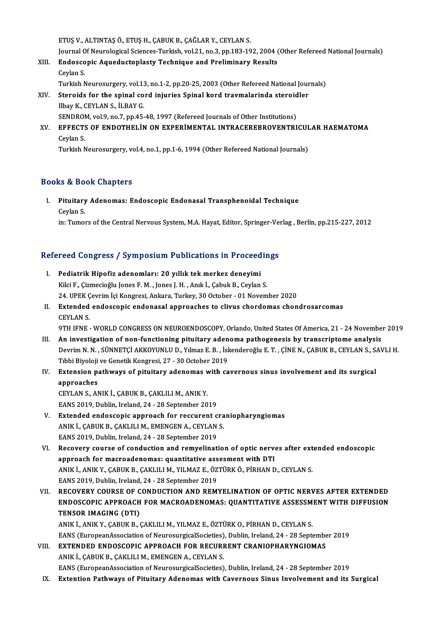ETUŞV.,ALTINTAŞÖ.,ETUŞH.,ÇABUKB.,ÇAĞLARY.,CEYLANS.

Journal Of Neurological Sciences-Turkish, vol.21, no.3, pp.183-192, 2004 (Other Refereed National Journals)

ETUŞ V., ALTINTAŞ Ö., ETUŞ H., ÇABUK B., ÇAĞLAR Y., CEYLAN S.<br>Journal Of Neurological Sciences-Turkish, vol.21, no.3, pp.183-192, 2004 (<br>XIII. Endoscopic Aqueductoplasty Technique and Preliminary Results Journal O<br><mark>Endosco</mark><br>Ceylan S.<br>Turkish N Endoscopic Aqueductoplasty Technique and Preliminary Results<br>Ceylan S.<br>Turkish Neurosurgery, vol.13, no.1-2, pp.20-25, 2003 (Other Refereed National Journals)<br>Staroids for the spinal cord injuries Spinal kord traumalarinda

Ceylan S.<br>Turkish Neurosurgery, vol.13, no.1-2, pp.20-25, 2003 (Other Refereed National Journal Steroids for the spinal cord injuries Spinal kord travmalarinda steroidler<br>Ilbay K. CEVIAN S. ILBAV C. Turkish Neurosurgery, vol.13<br>Steroids for the spinal co<br>Ilbay K., CEYLAN S., İLBAY G.<br>SENDROM vol.9, po 7, pp.45 Steroids for the spinal cord injuries Spinal kord travmalarinda steroid<br>Ilbay K., CEYLAN S., İLBAY G.<br>SENDROM, vol.9, no.7, pp.45-48, 1997 (Refereed Journals of Other Institutions)<br>FEFECTS OF ENDOTUEL IN ON EVPERIMENTAL IN SENDROM, vol.9, no.7, pp.45-48, 1997 (Refereed Journals of Other Institutions)

# Ilbay K., CEYLAN S., İLBAY G.<br>SENDROM, vol.9, no.7, pp.45-48, 1997 (Refereed Journals of Other Institutions)<br>XV. EFFECTS OF ENDOTHELİN ON EXPERİMENTAL INTRACEREBROVENTRICULAR HAEMATOMA<br>Ceylan S.

Turkish Neurosurgery, vol.4, no.1, pp.1-6, 1994 (Other Refereed National Journals)

### Books&Book Chapters

I. Pituitary Adenomas: Endoscopic Endonasal Transphenoidal Technique nd a Do<br>Pituitary<br>Ceylan S. Ceylan S.<br>in: Tumors of the Central Nervous System, M.A. Hayat, Editor, Springer-Verlag , Berlin, pp.215-227, 2012

# m: Tumors of the Central Nervous System, M.A. Hayat, Editor, Springer-ve.<br>Refereed Congress / Symposium Publications in Proceedings

- efereed Congress / Symposium Publications in Proceed<br>I. Pediatrik Hipofiz adenomları: 20 yıllık tek merkez deneyimi I. Pediatrik Hipofiz adenomları: 20 yıllık tek merkez deneyimi<br>Kilci F., Çizmecioğlu Jones F. M., Jones J. H., Anık İ., Çabuk B., Ceylan S. Pediatrik Hipofiz adenomları: 20 yıllık tek merkez deneyimi<br>Kilci F., Çizmecioğlu Jones F. M. , Jones J. H. , Anık İ., Çabuk B., Ceylan S.<br>24. UPEK Çevrim İçi Kongresi, Ankara, Turkey, 30 October - 01 November 2020<br>Evtanda
- II. Extended endoscopic endonasal approaches to clivus chordomas chondrosarcomas CEYLAN S. 24. UPEK Ç<br>**Extended**<br>CEYLAN S.<br>OTH JENE 9TH IFNE - WORLD CONGRESS ON NEUROENDOSCOPY, Orlando, United States Of America, 21 - 24 November 2019
- III. An investigation of non-functioning pituitary adenoma pathogenesis by transcriptome analysis 9TH IFNE - WORLD CONGRESS ON NEUROENDOSCOPY, Orlando, United States Of America, 21 - 24 November 201<br>An investigation of non-functioning pituitary adenoma pathogenesis by transcriptome analysis<br>Devrim N. N. , SÜNNETÇİ AKKO An investigation of non-functioning pituitary aden<br>Devrim N. N. , SÜNNETÇİ AKKOYUNLU D., Yılmaz E. B. , İsk<br>Tıbbi Biyoloji ve Genetik Kongresi, 27 - 30 October 2019<br>Eutonsian nathways of nituitary adenemas with sa Devrim N. N. , SÜNNETÇİ AKKOYUNLU D., Yılmaz E. B. , İskenderoğlu E. T. , ÇİNE N., ÇABUK B., CEYLAN S., S.<br>Tıbbi Biyoloji ve Genetik Kongresi, 27 - 30 October 2019<br>IV. Extension pathways of pituitary adenomas with cavernou

## Tibbi Biyoloji ve Genetik Kongresi, 27 - 30 October 2019<br>IV. Extension pathways of pituitary adenomas with cavernous sinus involvement and its surgical<br>approaches Extension pathways of pituitary adenomas v<br>approaches<br>CEYLAN S., ANIK İ., ÇABUK B., ÇAKLILI M., ANIK Y.<br>EANS 2010. Dublin. Ireland. 24., 28 September 20

approaches<br>CEYLAN S., ANIK İ., ÇABUK B., ÇAKLILI M., ANIK Y.<br>EANS 2019, Dublin, Ireland, 24 - 28 September 2019<br>Extended endessenis approash for ressurent s

- EANS 2019, Dublin, Ireland, 24 28 September 2019<br>V. Extended endoscopic approach for reccurent craniopharyngiomas EANS 2019, Dublin, Ireland, 24 - 28 September 2019<br>Extended endoscopic approach for reccurent cra<br>ANIK İ., ÇABUK B., ÇAKLILI M., EMENGEN A., CEYLAN S.<br>EANS 2019, Dublin, Ireland, 24, ...29 September 2019 Extended endoscopic approach for reccurent c<br>ANIK İ., ÇABUK B., ÇAKLILI M., EMENGEN A., CEYLAN<br>EANS 2019, Dublin, Ireland, 24 - 28 September 2019<br>Becaucuy course of conduction and remuelinati ANIK İ., ÇABUK B., ÇAKLILI M., EMENGEN A., CEYLAN S.<br>EANS 2019, Dublin, Ireland, 24 - 28 September 2019<br>VI. Recovery course of conduction and remyelination of optic nerves after extended endoscopic<br>anneach for magradenames
- EANS 2019, Dublin, Ireland, 24 28 September 2019<br>Recovery course of conduction and remyelination of optic nerve<br>approach for macroadenomas: quantitative assesment with DTI<br>ANIK LANIK Y, CAPUK B, CAKUU LM, VUMAZ E, ÖZTÜPK Recovery course of conduction and remyelination of optic nerves after ext<br>approach for macroadenomas: quantitative assesment with DTI<br>ANIK İ., ANIK Y., ÇABUK B., ÇAKLILI M., YILMAZ E., ÖZTÜRK Ö., PİRHAN D., CEYLAN S.<br>EANS approach for macroadenomas: quantitative ass<br>ANIK İ., ANIK Y., ÇABUK B., ÇAKLILI M., YILMAZ E., ÖZ<br>EANS 2019, Dublin, Ireland, 24 - 28 September 2019<br>RECOVERY COURSE OF CONDUCTION AND REM: ANIK İ., ANIK Y., ÇABUK B., ÇAKLILI M., YILMAZ E., ÖZTÜRK Ö., PİRHAN D., CEYLAN S.<br>EANS 2019, Dublin, Ireland, 24 - 28 September 2019<br>VII. RECOVERY COURSE OF CONDUCTION AND REMYELINATION OF OPTIC NERVES AFTER EXTENDED<br>
- EANS 2019, Dublin, Ireland, 24 28 September 2019<br>RECOVERY COURSE OF CONDUCTION AND REMYELINATION OF OPTIC NERVES AFTER EXTENDED<br>ENDOSCOPIC APPROACH FOR MACROADENOMAS: QUANTITATIVE ASSESSMENT WITH DIFFUSION<br>TENSOR IMACING RECOVERY COURSE OF C<br>ENDOSCOPIC APPROACH<br>TENSOR IMAGING (DTI)<br>ANIK LANIK Y CAPIIK P ( ENDOSCOPIC APPROACH FOR MACROADENOMAS: QUANTITATIVE ASSESSMENT WITH DIFFUSION<br>TENSOR IMAGING (DTI)<br>ANIK İ., ANIK Y., ÇABUK B., ÇAKLILI M., YILMAZ E., ÖZTÜRK O., PİRHAN D., CEYLAN S.

TENSOR IMAGING (DTI)<br>ANIK İ., ANIK Y., ÇABUK B., ÇAKLILI M., YILMAZ E., ÖZTÜRK O., PİRHAN D., CEYLAN S.<br>EANS (EuropeanAssociation of NeurosurgicalSocieties), Dublin, Ireland, 24 - 28 September 2019<br>EXTENDED ENDOSCOPIC APPR

VIII. EXTENDED ENDOSCOPIC APPROACH FOR RECURRENT CRANIOPHARYNGIOMAS<br>ANIK İ., ÇABUK B., ÇAKLILI M., EMENGEN A., CEYLAN S. EANS (EuropeanAssociation of NeurosurgicalSocieties)<br>EXTENDED ENDOSCOPIC APPROACH FOR RECURI<br>ANIK İ., ÇABUK B., ÇAKLILI M., EMENGEN A., CEYLAN S.<br>EANS (EuropeanAssociation of NeurosurgicalSociation) EANS (EuropeanAssociation of NeurosurgicalSocieties), Dublin, Ireland, 24 - 28 September 2019

IX. Extention Pathways of Pituitary Adenomas with Cavernous Sinus Involvement and its Surgical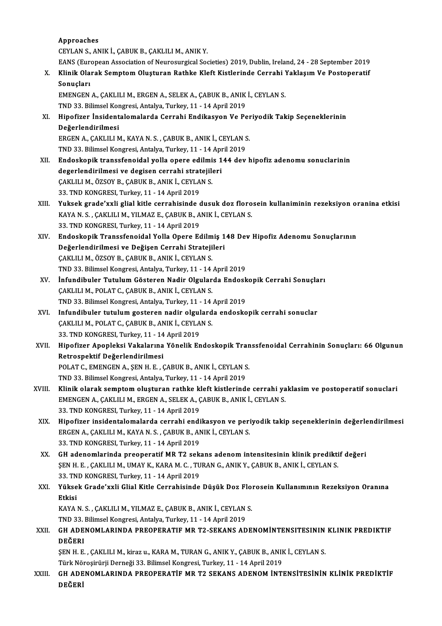Approaches CEYLANS.,ANIKİ.,ÇABUKB.,ÇAKLILIM.,ANIKY. EANS (European Association of Neurosurgical Societies) 2019, Dublin, Ireland, 24 - 28 September 2019 CEYLAN S., ANIK İ., ÇABUK B., ÇAKLILI M., ANIK Y.<br>EANS (European Association of Neurosurgical Societies) 2019, Dublin, Ireland, 24 - 28 September 2019<br>X. Klinik Olarak Semptom Oluşturan Rathke Kleft Kistlerinde Cerrahi EANS (Eur<br>Klinik Ola<br>Sonuçları<br>EMENCEN Klinik Olarak Semptom Oluşturan Rathke Kleft Kistlerinde Cerrahi !<br>Sonuçları<br>EMENGEN A., ÇAKLILI M., ERGEN A., SELEK A., ÇABUK B., ANIK İ., CEYLAN S.<br>TND 32. Bilimsel Kongresi, Artalya Turkey, 11, 14 Anril 2019 Sonuçları<br>EMENGEN A., ÇAKLILI M., ERGEN A., SELEK A., ÇABUK B., ANIK<br>TND 33. Bilimsel Kongresi, Antalya, Turkey, 11 - 14 April 2019<br>Hinofirer, İnsidentalemalarda Cerrabi, Endikasyon Ve Be XI. Hipofizer İnsidentalomalarda Cerrahi Endikasyon Ve Periyodik Takip Seçeneklerinin TND 33. Bilimsel Kongresi, Antalya, Turkey, 11 - 14 April 2019 Hipofizer İnsidentalomalarda Cerrahi Endikasyon Ve Per<br>Değerlendirilmesi<br>ERGEN A., ÇAKLILI M., KAYA N. S. , ÇABUK B., ANIK İ., CEYLAN S.<br>TND 22. Bilimsel Kongresi, Antalya Turkey, 11, 14 April 2019 De<mark>ğerlendirilmesi</mark><br>ERGEN A., ÇAKLILI M., KAYA N. S. , ÇABUK B., ANIK İ., CEYLAN S<br>TND 33. Bilimsel Kongresi, Antalya, Turkey, 11 - 14 April 2019<br>Endeskenik transsfeneidel velle enere edilmiş 144 dev XII. Endoskopik transsfenoidal yolla opere edilmis 144 dev hipofiz adenomu sonuclarinin<br>degerlendirilmesi ve degisen cerrahi stratejileri TND 33. Bilimsel Kongresi, Antalya, Turkey, 11 - 14 April 2019 Endoskopik transsfenoidal yolla opere edilmi<br>degerlendirilmesi ve degisen cerrahi stratejil<br>ÇAKLILI M., ÖZSOY B., ÇABUK B., ANIK İ., CEYLAN S.<br>22. TND KONCRESI Turkay 11 - 14 April 2019 degerlendirilmesi ve degisen cerrahi strat<br>ÇAKLILI M., ÖZSOY B., ÇABUK B., ANIK İ., CEYLA<br>33. TND KONGRESI, Turkey, 11 - 14 April 2019<br>Yuksek srade'urli slial kitle serrebisinde ( CAKLILI M., ÖZSOY B., ÇABUK B., ANIK İ., CEYLAN S.<br>33. TND KONGRESI, Turkey, 11 - 14 April 2019<br>XIII. Yuksek grade'xxli glial kitle cerrahisinde dusuk doz florosein kullaniminin rezeksiyon oranina etkisi 33. TND KONGRESI, Turkey, 11 - 14 April 2019<br>Yuksek grade'xxli glial kitle cerrahisinde dusuk doz floro<br>KAYA N. S. , ÇAKLILI M., YILMAZ E., ÇABUK B., ANIK İ., CEYLAN S.<br>22. TND KONGRESI, Turkey, 11 - 14 April 2019 Yuksek grade'xxli glial kitle cerrahisinde o<br>KAYA N.S., ÇAKLILI M., YILMAZ E., ÇABUK B., A<br>33. TND KONGRESI, Turkey, 11 - 14 April 2019<br>Endeskepik Transsfonaidal Yalla Onere Es KAYA N. S. , ÇAKLILI M., YILMAZ E., ÇABUK B., ANIK İ., CEYLAN S.<br>33. TND KONGRESI, Turkey, 11 - 14 April 2019<br>XIV. Endoskopik Transsfenoidal Yolla Opere Edilmiş 148 Dev Hipofiz Adenomu Sonuçlarının<br>Değerlendirilmesi ve 33. TND KONGRESI, Turkey, 11 - 14 April 2019<br>Endoskopik Transsfenoidal Yolla Opere Edilmiş 1<br>Değerlendirilmesi ve Değişen Cerrahi Stratejileri<br>CAKULLM, ÖZSOV B. CABUK B. ANIK İ. CEVLAN S Endoskopik Transsfenoidal Yolla Opere Edilm<br>Değerlendirilmesi ve Değişen Cerrahi Strateji<br>ÇAKLILI M., ÖZSOY B., ÇABUK B., ANIK İ., CEYLAN S.<br>TND 32 Bilimsel Kongresi Antalya Turkey 11 - 14 Değerlendirilmesi ve Değişen Cerrahi Stratejileri<br>ÇAKLILI M., ÖZSOY B., ÇABUK B., ANIK İ., CEYLAN S.<br>TND 33. Bilimsel Kongresi, Antalya, Turkey, 11 - 14 April 2019 CAKLILI M., ÖZSOY B., ÇABUK B., ANIK İ., CEYLAN S.<br>TND 33. Bilimsel Kongresi, Antalya, Turkey, 11 - 14 April 2019<br>XV. İnfundibuler Tutulum Gösteren Nadir Olgularda Endoskopik Cerrahi Sonuçları<br>CAKLILIM, POLAT C. CABLIK TND 33. Bilimsel Kongresi, Antalya, Turkey, 11 - 14<br>İnfundibuler Tutulum Gösteren Nadir Olgular<br>ÇAKLILI M., POLAT C., ÇABUK B., ANIK İ., CEYLAN S.<br>TND 32. Bilimsel Kongresi, Antalya Turkey, 11 - 14 İnfundibuler Tutulum Gösteren Nadir Olgularda Endosk<br>ÇAKLILI M., POLAT C., ÇABUK B., ANIK İ., CEYLAN S.<br>TND 33. Bilimsel Kongresi, Antalya, Turkey, 11 - 14 April 2019<br>Infundibuler tutulum gesteren nadir olgularda endoske CAKLILI M., POLAT C., CABUK B., ANIK İ., CEYLAN S.<br>TND 33. Bilimsel Kongresi, Antalya, Turkey, 11 - 14 April 2019<br>XVI. Infundibuler tutulum gosteren nadir olgularda endoskopik cerrahi sonuclar<br>CAKLILIM, POLAT C. CARLIK R. TND 33. Bilimsel Kongresi, Antalya, Turkey, 11 - 14<br>Infundibuler tutulum gosteren nadir olgulard<br>ÇAKLILI M., POLAT C., ÇABUK B., ANIK İ., CEYLAN S.<br>22. TND KONCRESI, Turkey, 11 - 14 April 2019 Infundibuler tutulum gosteren nadir olgul<br>ÇAKLILI M., POLAT C., ÇABUK B., ANIK İ., CEYLA<br>33. TND KONGRESI, Turkey, 11 - 14 April 2019<br>Hinofizer Aperleksi Vakalarına Yönelik En ÇAKLILI M., POLAT C., ÇABUK B., ANIK İ., CEYLAN S.<br>33. TND KONGRESI, Turkey, 11 - 14 April 2019<br>XVII. Hipofizer Apopleksi Vakalarına Yönelik Endoskopik Transsfenoidal Cerrahinin Sonuçları: 66 Olgunun<br>Retrespektif Değer 33. TND KONGRESI, Turkey, 11 - 14<br>Hipofizer Apopleksi Vakalarına<br>Retrospektif Değerlendirilmesi<br>POLAT C. EMENCEN A. SEN H.E. G Hipofizer Apopleksi Vakalarına Yönelik Endoskopik Tran<br>Retrospektif Değerlendirilmesi<br>POLAT C., EMENGEN A., ŞEN H. E. , ÇABUK B., ANIK İ., CEYLAN S.<br>TND 32. Bilimsel Kongresi Antalya Turkey 11, 14 Anril 3010 Retrospektif Değerlendirilmesi<br>POLAT C., EMENGEN A., ŞEN H. E. , ÇABUK B., ANIK İ., CEYLAN S.<br>TND 33. Bilimsel Kongresi, Antalya, Turkey, 11 - 14 April 2019 XVIII. Klinik olarak semptom oluşturan rathke kleft kistlerinde cerrahi yaklasim ve postoperatif sonuclari TND 33. Bilimsel Kongresi, Antalya, Turkey, 11 - 14 April 2019<br>Klinik olarak semptom oluşturan rathke kleft kistlerinde cerrahi ya<br>EMENGEN A., ÇAKLILI M., ERGEN A., SELEK A., ÇABUK B., ANIK İ., CEYLAN S.<br>22. TND KONGBESI, Klinik olarak semptom oluşturan rathke k<br>EMENGEN A., ÇAKLILI M., ERGEN A., SELEK A., Ç<br>33. TND KONGRESI, Turkey, 11 - 14 April 2019<br>Hingfizer insidentalemalarda serrahi endi EMENGEN A., ÇAKLILI M., ERGEN A., SELEK A., ÇABUK B., ANIK İ., CEYLAN S.<br>33. TND KONGRESI, Turkey, 11 - 14 April 2019<br>XIX. Hipofizer insidentalomalarda cerrahi endikasyon ve periyodik takip seçeneklerinin değerlendiril 33. TND KONGRESI, Turkey, 11 - 14 April 2019<br>Hipofizer insidentalomalarda cerrahi endikasyon ve peri<br>ERGEN A., ÇAKLILI M., KAYA N. S. , ÇABUK B., ANIK İ., CEYLAN S.<br>22. TND KONGRESI, Turkey, 11 - 14 April 2019 ERGEN A., ÇAKLILI M., KAYA N. S., ÇABUK B., ANIK İ., CEYLAN S.<br>33. TND KONGRESI, Turkey, 11 - 14 April 2019 ERGEN A., ÇAKLILI M., KAYA N. S. , ÇABUK B., ANIK İ., CEYLAN S.<br>33. TND KONGRESI, Turkey, 11 - 14 April 2019<br>XX. GH adenomlarinda preoperatif MR T2 sekans adenom intensitesinin klinik prediktif değeri<br>SEN H E GAYLU I 33. TND KONGRESI, Turkey, 11 - 14 April 2019<br>GH adenomlarinda preoperatif MR T2 sekans adenom intensitesinin klinik predikti<br>ŞEN H. E. , ÇAKLILI M., UMAY K., KARA M. C. , TURAN G., ANIK Y., ÇABUK B., ANIK İ., CEYLAN S.<br>22. ŞEN H. E. , ÇAKLILI M., UMAY K., KARA M. C. , TURAN G., ANIK Y., ÇABUK B., ANIK İ., CEYLAN S.<br>33. TND KONGRESI, Turkey, 11 - 14 April 2019 ŞEN H. E. , ÇAKLILI M., UMAY K., KARA M. C. , TURAN G., ANIK Y., ÇABUK B., ANIK İ., CEYLAN S.<br>33. TND KONGRESI, Turkey, 11 - 14 April 2019<br>XXI. Yüksek Grade'xxli Glial Kitle Cerrahisinde Düşük Doz Florosein Kullanımını 33. TN<br>Yükse<br>Etkisi<br><sup>VAVA</sup> Yüksek Grade'xxli Glial Kitle Cerrahisinde Düşük Doz Flo:<br>Etkisi<br>KAYA N. S. , ÇAKLILI M., YILMAZ E., ÇABUK B., ANIK İ., CEYLAN S.<br>TND 22. Bilimsel Kongresi, Antelya Turkey, 11, 14 Anril 2019 Etkisi<br>KAYA N. S. , ÇAKLILI M., YILMAZ E., ÇABUK B., ANIK İ., CEYLAN S.<br>TND 33. Bilimsel Kongresi, Antalya, Turkey, 11 - 14 April 2019 XXI . GH ADENOMLARINDA PREOPERATIF MR T2-SEKANS ADENOMİNTENSITESININ KLINIK PREDIKTIF DEĞERI GH ADENOMLARINDA PREOPERATIF MR T2-SEKANS ADENOMİNTENSITESININ<br>DEĞERI<br>ŞEN H. E. , ÇAKLILI M., kiraz u., KARA M., TURAN G., ANIK Y., ÇABUK B., ANIK İ., CEYLAN S.<br>Türk Nörosirünü Derneği 22. Bilimsel Konspesi, Turkey, 11, 14 D<mark>EĞERI</mark><br>ŞEN H. E. , ÇAKLILI M., kiraz u., KARA M., TURAN G., ANIK Y., ÇABUK B., ANI<del>I</del><br>Türk Nöroşirürji Derneği 33. Bilimsel Kongresi, Turkey, 11 - 14 April 2019<br>CH. ADENOMI ARINDA BREORERATİE MR. T2 SEKANS ADENOM İNTI ŞEN H. E. , ÇAKLILI M., kiraz u., KARA M., TURAN G., ANIK Y., ÇABUK B., ANIK İ., CEYLAN S.<br>Türk Nöroşirürji Derneği 33. Bilimsel Kongresi, Turkey, 11 - 14 April 2019<br>XXIII. GH ADENOMLARINDA PREOPERATİF MR T2 SEKANS ADE Türk Nö<br>GH ADE<br>DEĞERİ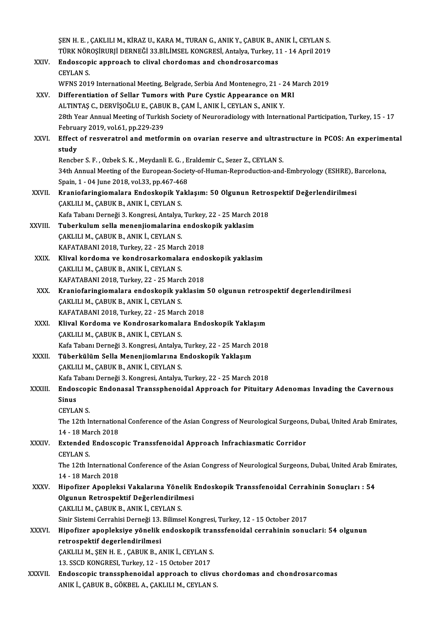ŞEN H. E. , ÇAKLILI M., KİRAZ U., KARA M., TURAN G., ANIK Y., ÇABUK B., ANIK İ., CEYLAN S.<br>Tüpk Nöposipupu DEPNEĞİ 22 PU İMSEL KONCPESİ, Artakıs, Turkey, 11, 14, Anril 3010 ŞEN H. E. , ÇAKLILI M., KİRAZ U., KARA M., TURAN G., ANIK Y., ÇABUK B., ANIK İ., CEYLAN S.<br>TÜRK NÖROŞİRURJİ DERNEĞİ 33.BİLİMSEL KONGRESİ, Antalya, Turkey, 11 - 14 April 2019<br>Endessenis annroash ta slival shardamas and shan ŞEN H. E. , ÇAKLILI M., KİRAZ U., KARA M., TURAN G., ANIK Y., ÇABUK B., A<br>TÜRK NÖROŞİRURJİ DERNEĞİ 33.BİLİMSEL KONGRESİ, Antalya, Turkey, 1<br>XXIV. Endoscopic approach to clival chordomas and chondrosarcomas TÜRK NÖROŞİRURJİ DERNEĞİ 33.BİLİMSEL KONGRESİ, Antalya, Turkey, 11 - 14 April 2019<br>Endoscopic approach to clival chordomas and chondrosarcomas<br>CEYLAN S. WFNS 2019 International Meeting, Belgrade, Serbia And Montenegro, 21 - 24 March 2019 XXV. Differentiation of Sellar Tumors with Pure Cystic Appearance on MRI WFNS 2019 International Meeting, Belgrade, Serbia And Montenegro, 21 - 2<br>Differentiation of Sellar Tumors with Pure Cystic Appearance on M<br>ALTINTAŞ C., DERVİŞOĞLU E., ÇABUK B., ÇAM İ., ANIK İ., CEYLAN S., ANIK Y.<br>29th Year 28th Year Annual Meeting of Turkish Society of Neuroradiology with International Participation, Turkey, 15 - 17<br>February 2019, vol.61, pp.229-239 ALTINTAŞ C., DERVİŞOĞLU E., ÇABU<br>28th Year Annual Meeting of Turkis<br>February 2019, vol.61, pp.229-239<br>Fffest of resucratrel and metfel 28th Year Annual Meeting of Turkish Society of Neuroradiology with International Participation, Turkey, 15 - 17<br>February 2019, vol.61, pp.229-239<br>XXVI. Effect of resveratrol and metformin on ovarian reserve and ultrastruct Februa<br>**Effect**<br>study<br><sup>Benche</sup> Effect of resveratrol and metformin on ovarian reserve and ultras<br>study<br>Rencber S.F., Ozbek S.K., Meydanli E.G., Eraldemir C., Sezer Z., CEYLAN S.<br>24th Annual Meeting of the European Seciety of Human Banneduction and study<br>Rencber S. F. , Ozbek S. K. , Meydanli E. G. , Eraldemir C., Sezer Z., CEYLAN S.<br>34th Annual Meeting of the European-Society-of-Human-Reproduction-and-Embryology (ESHRE), Barcelona, Rencber S. F. , Ozbek S. K. , Meydanli E. G. , E<br>34th Annual Meeting of the European-Socie<br>Spain, 1 - 04 June 2018, vol.33, pp.467-468<br>Kraniafaringiamalara Endoskanik Vakk 34th Annual Meeting of the European-Society-of-Human-Reproduction-and-Embryology (ESHRE), B<br>Spain, 1 - 04 June 2018, vol.33, pp.467-468<br>XXVII. Kraniofaringiomalara Endoskopik Yaklaşım: 50 Olgunun Retrospektif Değerlendiril Spain, 1 - 04 June 2018, vol.33, pp.467-46<br>Kraniofaringiomalara Endoskopik Ya<br>ÇAKLILI M., ÇABUK B., ANIK İ., CEYLAN S.<br>Kefa Tabanı Derneği 3, Kansresi, Antalya Kraniofaringiomalara Endoskopik Yaklaşım: 50 Olgunun Retro<br>ÇAKLILI M., ÇABUK B., ANIK İ., CEYLAN S.<br>Kafa Tabanı Derneği 3. Kongresi, Antalya, Turkey, 22 - 25 March 2018<br>Tuborkulum selle menenjismelerine endeskenik yaklasım CAKLILI M., CABUK B., ANIK İ., CEYLAN S.<br>Kafa Tabanı Derneği 3. Kongresi, Antalya, Turkey, 22 - 25 March 2<br>XXVIII. Tuberkulum sella menenjiomalarina endoskopik yaklasim Kafa Tabanı Derneği 3. Kongresi, Antalya,<br><mark>Tuberkulum sella menenjiomalarina</mark><br>ÇAKLILI M., ÇABUK B., ANIK İ., CEYLAN S.<br>KAFATARANI 2019, Turkay, 22., 25 Mare Tuberkulum sella menenjiomalarina endosk<br>ÇAKLILI M., ÇABUK B., ANIK İ., CEYLAN S.<br>KAFATABANI 2018, Turkey, 22 - 25 March 2018<br>Klival kardama ve kandrasarkamalara ande CAKLILI M., CABUK B., ANIK İ., CEYLAN S.<br>KAFATABANI 2018, Turkey, 22 - 25 March 2018<br>XXIX. Klival kordoma ve kondrosarkomalara endoskopik yaklasim KAFATABANI 2018, Turkey, 22 - 25 Marc<br>Klival kordoma ve kondrosarkomala<br>ÇAKLILI M., ÇABUK B., ANIK İ., CEYLAN S.<br>KAFATARANI 2019, Turkey, 22 - 25 Marc Klival kordoma ve kondrosarkomalara ende<br>ÇAKLILI M., ÇABUK B., ANIK İ., CEYLAN S.<br>KAFATABANI 2018, Turkey, 22 - 25 March 2018<br>Kraniafaringiamalara andaskanik yaklasım CAKLILI M., CABUK B., ANIK İ., CEYLAN S.<br>KAFATABANI 2018, Turkey, 22 - 25 March 2018<br>XXX. Kraniofaringiomalara endoskopik yaklasim 50 olgunun retrospektif degerlendirilmesi KAFATABANI 2018, Turkey, 22 - 25 Marc<br>Kraniofaringiomalara endoskopik ya<br>ÇAKLILI M., ÇABUK B., ANIK İ., CEYLAN S.<br>KAFATARANI 2019, Turkey, 22 - 25 Marc Kraniofaringiomalara endoskopik yaklasim<br>ÇAKLILI M., ÇABUK B., ANIK İ., CEYLAN S.<br>KAFATABANI 2018, Turkey, 22 - 25 March 2018<br>Klivel Kordoma ve Kondreserkomalara End ÇAKLILI M., ÇABUK B., ANIK İ., CEYLAN S.<br>KAFATABANI 2018, Turkey, 22 - 25 March 2018<br>XXXI. Klival Kordoma ve Kondrosarkomalara Endoskopik Yaklaşım<br>ÇAKLILI M., ÇABUK B., ANIK İ., CEYLAN S. KAFATABANI 2018, Turkey, 22 - 25 March 2018 Klival Kordoma ve Kondrosarkomalara Endoskopik Yaklaşım<br>ÇAKLILI M., ÇABUK B., ANIK İ., CEYLAN S.<br>Kafa Tabanı Derneği 3. Kongresi, Antalya, Turkey, 22 - 25 March 2018<br>Tüberkülüm Salla Mananijamlarına Endoskopik Yaklasım ÇAKLILI M., ÇABUK B., ANIK İ., CEYLAN S.<br>Kafa Tabanı Derneği 3. Kongresi, Antalya, Turkey, 22 - 25 March 2<br>XXXII. Tüberkülüm Sella Menenjiomlarına Endoskopik Yaklaşım<br>CAKLULM CABUK B. ANIK İ. CEYLAN S. Kafa Tabanı Derneği 3. Kongresi, Antalya,<br><mark>Tüberkülüm Sella Menenjiomlarına E</mark><br>ÇAKLILI M., ÇABUK B., ANIK İ., CEYLAN S.<br>Kefa Tabanı Derneği 3. Kongresi, Antalya Tüberkülüm Sella Menenjiomlarına Endoskopik Yaklaşım<br>ÇAKLILI M., ÇABUK B., ANIK İ., CEYLAN S.<br>Kafa Tabanı Derneği 3. Kongresi, Antalya, Turkey, 22 - 25 March 2018<br>Endossonia Endonesel Transanhaneidel Annroash fan Bituitarı CAKLILI M., CABUK B., ANIK İ., CEYLAN S.<br>Kafa Tabanı Derneği 3. Kongresi, Antalya, Turkey, 22 - 25 March 2018<br>XXXIII. Endoscopic Endonasal Transsphenoidal Approach for Pituitary Adenomas Invading the Cavernous<br>Sinus Kafa Ta<br><mark>Endos</mark><br>Sinus<br>CEVI A Endoscop<br>Sinus<br>CEYLAN S.<br>The 12th I Sinus<br>CEYLAN S.<br>The 12th International Conference of the Asian Congress of Neurological Surgeons, Dubai, United Arab Emirates, CEYLAN S.<br>The 12th Internation<br>14 - 18 March 2018<br>Extended Endosse The 12th International Conference of the Asian Congress of Neurological Surgeons<br>14 - 18 March 2018<br>XXXIV. Extended Endoscopic Transsfenoidal Approach Infrachiasmatic Corridor<br>CEVIAN S 14 - 18 Ma<br>**Extended**<br>CEYLAN S.<br>The 12th I Extended Endoscopic Transsfenoidal Approach Infrachiasmatic Corridor<br>CEYLAN S.<br>The 12th International Conference of the Asian Congress of Neurological Surgeons, Dubai, United Arab Emirates,<br>14, 18 March 2018 CEYLAN S.<br>The 12th Internation<br>14 - 18 March 2018<br>Hinofirer Anonlek The 12th International Conference of the Asian Congress of Neurological Surgeons, Dubai, United Arab En<br>14 - 18 March 2018<br>XXXV. Hipofizer Apopleksi Vakalarına Yönelik Endoskopik Transsfenoidal Cerrahinin Sonuçları : 54<br>Ol 14 - 18 March 2018<br>Hipofizer Apopleksi Vakalarına Yönelik<br>Olgunun Retrospektif Değerlendirilmesi<br>CAKULLM, CABUK B. ANIK İ. CEVLAN S Hipofizer Apopleksi Vakalarına Yöne<br>Olgunun Retrospektif Değerlendirilm<br>ÇAKLILI M., ÇABUK B., ANIK İ., CEYLAN S.<br>Sinir Sistemi Cerrebisi Derneği 12 Bilimse Olgunun Retrospektif Değerlendirilmesi<br>ÇAKLILI M., ÇABUK B., ANIK İ., CEYLAN S.<br>Sinir Sistemi Cerrahisi Derneği 13. Bilimsel Kongresi, Turkey, 12 - 15 October 2017<br>Hinofirer anenleksiye yönelik endeskenik transsfeneidel se CAKLILI M., CABUK B., ANIK İ., CEYLAN S.<br>Sinir Sistemi Cerrahisi Derneği 13. Bilimsel Kongresi, Turkey, 12 - 15 October 2017<br>XXXVI. Hipofizer apopleksiye yönelik endoskopik transsfenoidal cerrahinin sonuclari: 54 olgun Sinir Sistemi Cerrahisi Derneği 13.<br>Hipofizer apopleksiye yönelik<br>retrospektif degerlendirilmesi<br>CAKUUJM SENH E. CABUK B.A Hipofizer apopleksiye yönelik endoskopik tra<mark>ı</mark><br>retrospektif degerlendirilmesi<br>ÇAKLILI M., ŞEN H. E. , ÇABUK B., ANIK İ., CEYLAN S.<br>12. SSCD KONCPESI, Turkey 12., 15 Ostabar 2017 retrospektif degerlendirilmesi<br>CAKLILI M., ŞEN H. E. , ÇABUK B., ANIK İ., CEYLAN S.<br>13. SSCD KONGRESI, Turkey, 12 - 15 October 2017 XXXVII. Endoscopic transsphenoidal approach to clivus chordomas and chondrosarcomas ANIK İ., ÇABUK B., GÖKBEL A., ÇAKLILI M., CEYLAN S.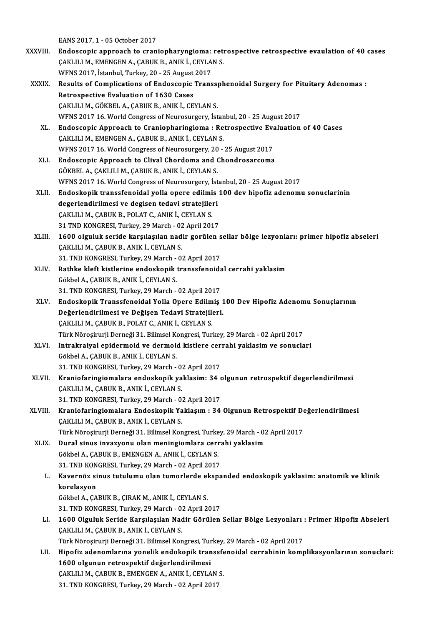EANS 2017, 1 - 05 October 2017

- XXXVIII. Endoscopic approach to craniopharyngioma: retrospective retrospective evaulation of 40 cases EANS 2017, 1 - 05 October 2017<br>Endoscopic approach to craniopharyngioma: retra<br>CAKLILI M., EMENGEN A., CABUK B., ANIK İ., CEYLAN S. Endoscopic approach to craniopharyngioma:<br>ÇAKLILI M., EMENGEN A., ÇABUK B., ANIK İ., CEYLA<br>WFNS 2017, İstanbul, Turkey, 20 - 25 August 2017<br>Pesults of Complications of Endossonis Trans WFNS 2017, İstanbul, Turkey, 20 - 25 August 2017
	- XXXIX. Results of Complications of Endoscopic Transsphenoidal Surgery for Pituitary Adenomas : ÇAKLILI M., GÖKBEL A., ÇABUK B., ANIK İ., CEYLAN S. WFNS 2017 16. World Congress of Neurosurgery, İstanbul, 20 - 25 August 2017 CAKLILI M., GÖKBEL A., CABUK B., ANIK İ., CEYLAN S.<br>WFNS 2017 16. World Congress of Neurosurgery, İstanbul, 20 - 25 August 2017<br>XL. Endoscopic Approach to Craniopharingioma : Retrospective Evaluation of 40 Cases
		- WFNS 2017 16. World Congress of Neurosurgery, İstan<br>Endoscopic Approach to Craniopharingioma : Re<br>ÇAKLILI M., EMENGEN A., ÇABUK B., ANIK İ., CEYLAN S.<br>WENS 2017 16. World Congress of Neurosurgery, 20. Endoscopic Approach to Craniopharingioma : Retrospective Eva<br>CAKLILI M., EMENGEN A., CABUK B., ANIK İ., CEYLAN S.<br>WFNS 2017 16. World Congress of Neurosurgery, 20 - 25 August 2017<br>Endoscopis Approach to Clivel Chardoma and CAKLILI M., EMENGEN A., CABUK B., ANIK İ., CEYLAN S.<br>WFNS 2017 16. World Congress of Neurosurgery, 20 - 25 August 2017<br>XLI. Endoscopic Approach to Clival Chordoma and Chondrosarcoma<br>GÖKBEL A., CAKLILI M., CABUK B., ANIK İ. WFNS 2017 16. World Congress of Neurosurgery, 20 - 25 August 2017
		- Endoscopic Approach to Clival Chordoma and Chondrosarcoma<br>GÖKBEL A., ÇAKLILI M., ÇABUK B., ANIK İ., CEYLAN S.<br>WFNS 2017 16. World Congress of Neurosurgery, İstanbul, 20 25 August 2017<br>Endoskopik transafonoidal valla onar GÖKBEL A., ÇAKLILI M., ÇABUK B., ANIK İ., CEYLAN S.<br>WFNS 2017 16. World Congress of Neurosurgery, İstanbul, 20 - 25 August 2017<br>XLII. Endoskopik transsfenoidal yolla opere edilmis 100 dev hipofiz adenomu sonuclarinin<br>d
		- WFNS 2017 16. World Congress of Neurosurgery, İst<br>Endoskopik transsfenoidal yolla opere edilmis<br>degerlendirilmesi ve degisen tedavi stratejileri<br>CAKULLM, CABUK B. POLAT C. ANIK İ. CEVLAN S Endoskopik transsfenoidal yolla opere edilmi<br>degerlendirilmesi ve degisen tedavi stratejile:<br>ÇAKLILI M., ÇABUK B., POLAT C., ANIK İ., CEYLAN S.<br>21 TND KONCRESI Turkey, 29 Mareb., 92 April 201 degerlendirilmesi ve degisen tedavi stratejileri<br>ÇAKLILI M., ÇABUK B., POLAT C., ANIK İ., CEYLAN S.<br>31 TND KONGRESI, Turkey, 29 March - 02 April 2017
		- CAKLILI M., ÇABUK B., POLAT C., ANIK İ., CEYLAN S.<br>31 TND KONGRESI, Turkey, 29 March 02 April 2017<br>XLIII. 1600 olguluk seride karşılaşılan nadir gorülen sellar bölge lezyonları: primer hipofiz abseleri 31 TND KONGRESI, Turkey, 29 March - 02<br>1600 olguluk seride karşılaşılan nad<br>ÇAKLILI M., ÇABUK B., ANIK İ., CEYLAN S.<br>21 TND KONGRESI Turkey, 20 Marsh. 02 1600 olguluk seride karşılaşılan nadir gorülen s<br>ÇAKLILI M., ÇABUK B., ANIK İ., CEYLAN S.<br>31. TND KONGRESI, Turkey, 29 March - 02 April 2017<br>Pathka klaft kiştlerine andaskanik transsfenaids CAKLILI M., ÇABUK B., ANIK İ., CEYLAN S.<br>31. TND KONGRESI, Turkey, 29 March - 02 April 2017<br>XLIV. Rathke kleft kistlerine endoskopik transsfenoidal cerrahi yaklasim
		- GökbelA.,ÇABUKB.,ANIKİ.,CEYLANS. 31. TND KONGRESI, Turkey, 29 March - 02 April 2017
		- Gökbel A., ÇABUK B., ANIK İ., CEYLAN S.<br>31. TND KONGRESI, Turkey, 29 March 02 April 2017<br>XLV. Endoskopik Transsfenoidal Yolla Opere Edilmiş 100 Dev Hipofiz Adenomu Sonuçlarının<br>Değerlendirilmesi ve Değisen Tedevi Str 31. TND KONGRESI, Turkey, 29 March - 02 April 2017<br>Endoskopik Transsfenoidal Yolla Opere Edilmiş 1<br>Değerlendirilmesi ve Değişen Tedavi Stratejileri.<br>CAKULLM, CABUK B. POLAT.C. ANIK İ. CEVLAN S. Endoskopik Transsfenoidal Yolla Opere Edilm<br>Değerlendirilmesi ve Değişen Tedavi Stratejilı<br>ÇAKLILI M., ÇABUK B., POLAT C., ANIK İ., CEYLAN S.<br>Türk Nörosinurii Demeği 21, Bilimsel Kongresi Tur Değerlendirilmesi ve Değişen Tedavi Stratejileri.<br>ÇAKLILI M., ÇABUK B., POLAT C., ANIK İ., CEYLAN S.<br>Türk Nöroşirurji Derneği 31. Bilimsel Kongresi, Turkey, 29 March - 02 April 2017 CAKLILI M., ÇABUK B., POLAT C., ANIK İ., CEYLAN S.<br>Türk Nöroşirurji Derneği 31. Bilimsel Kongresi, Turkey, 29 March - 02 April 2017<br>XLVI. Intrakraiyal epidermoid ve dermoid kistlere cerrahi yaklasim ve sonuclari
	- Türk Nöroşirurji Derneği 31. Bilimsel Ka<br>I**ntrakraiyal epidermoid ve dermoi**<br>Gökbel A., ÇABUK B., ANIK İ., CEYLAN S.<br>21. TND KONGBESI Turkay 29 Marsh Intrakraiyal epidermoid ve dermoid kistlere cer<br>Gökbel A., ÇABUK B., ANIK İ., CEYLAN S.<br>31. TND KONGRESI, Turkey, 29 March - 02 April 2017<br>Kraniafaringiamalara andaskanik vaklasimı 34.4 Gökbel A., ÇABUK B., ANIK İ., CEYLAN S.<br>31. TND KONGRESI, Turkey, 29 March - 02 April 2017<br>XLVII. Kraniofaringiomalara endoskopik yaklasim: 34 olgunun retrospektif degerlendirilmesi
	- 31. TND KONGRESI, Turkey, 29 March 0.<br>Kraniofaringiomalara endoskopik ya<br>ÇAKLILI M., ÇABUK B., ANIK İ., CEYLAN S.<br>21. TND KONGRESI, Turkey, 20 Marsh., 0. Kraniofaringiomalara endoskopik yaklasim: 34 c<br>ÇAKLILI M., ÇABUK B., ANIK İ., CEYLAN S.<br>31. TND KONGRESI, Turkey, 29 March - 02 April 2017<br>Kraniafaringiamalara Endoskopik Yaklasım : 34 CAKLILI M., ÇABUK B., ANIK İ., CEYLAN S.<br>31. TND KONGRESI, Turkey, 29 March - 02 April 2017<br>XLVIII. Kraniofaringiomalara Endoskopik Yaklaşım : 34 Olgunun Retrospektif Değerlendirilmesi
	- 31. TND KONGRESI, Turkey, 29 March 0.<br>Kraniofaringiomalara Endoskopik Ya<br>ÇAKLILI M., ÇABUK B., ANIK İ., CEYLAN S.<br>Türk Nönesinunii Demeči 31. Bilimsel Kon Kraniofaringiomalara Endoskopik Yaklaşım : 34 Olgunun Retrospektif De<br>ÇAKLILI M., ÇABUK B., ANIK İ., CEYLAN S.<br>Türk Nöroşirurji Derneği 31. Bilimsel Kongresi, Turkey, 29 March - 02 April 2017<br>Dural sinus invasyonu olan mon CAKLILI M., ÇABUK B., ANIK İ., CEYLAN S.<br>Türk Nöroşirurji Derneği 31. Bilimsel Kongresi, Turkey, 29 March - 02 April 2017<br>XLIX. Dural sinus invazyonu olan meningiomlara cerrahi yaklasim
		- Türk Nöroşirurji Derneği 31. Bilimsel Kongresi, Turke<br>Dural sinus invazyonu olan meningiomlara ceri<br>Gökbel A., ÇABUK B., EMENGEN A., ANIK İ., CEYLAN S.<br>21. TND KONGRESI, Turkay 29 Marsh., 92.Anril 2017 Dural sinus invazyonu olan meningiomlara cerra<br>Gökbel A., ÇABUK B., EMENGEN A., ANIK İ., CEYLAN S.<br>31. TND KONGRESI, Turkey, 29 March - 02 April 2017<br>Kayornêz sinus tutulumu olan tumorlarda ekspa
			- Gökbel A., ÇABUK B., EMENGEN A., ANIK İ., CEYLAN S.<br>31. TND KONGRESI, Turkey, 29 March 02 April 2017<br>L. Kavernöz sinus tutulumu olan tumorlerde ekspanded endoskopik yaklasim: anatomik ve klinik<br>karelasyon 31. TND KON<br>Kavernöz si<br>korelasyon<br>Göltbel A. GA Kavernöz sinus tutulumu olan tumorlerde el<br>korelasyon<br>Gökbel A., ÇABUK B., ÇIRAK M., ANIK İ., CEYLAN S.<br>21. TND KONCRESI Turkay 29 Marsh. 92 Anril 2 korelasyon<br>Gökbel A., ÇABUK B., ÇIRAK M., ANIK İ., CEYLAN S.<br>31. TND KONGRESI, Turkey, 29 March - 02 April 2017<br>1600 Olayluk Soride Karalasılan Nadir Görülen
			- Gökbel A., ÇABUK B., ÇIRAK M., ANIK İ., CEYLAN S.<br>31. TND KONGRESI, Turkey, 29 March 02 April 2017<br>LI. 1600 Olguluk Seride Karşılaşılan Nadir Görülen Sellar Bölge Lezyonları : Primer Hipofiz Abseleri<br>ÇAKLILI M., ÇABU 31. TND KONGRESI, Turkey, 29 March - 0.<br>1600 Olguluk Seride Karşılaşılan Nac<br>ÇAKLILI M., ÇABUK B., ANIK İ., CEYLAN S.<br>Türk Nönesinurii Demeği 31. Bilimsel Kon 1600 Olguluk Seride Karşılaşılan Nadir Görülen Sellar Bölge Lezyonları<br>ÇAKLILI M., ÇABUK B., ANIK İ., CEYLAN S.<br>Türk Nöroşirurji Derneği 31. Bilimsel Kongresi, Turkey, 29 March - 02 April 2017<br>Hinefir adanemlarına yenelik ÇAKLILI M., ÇABUK B., ANIK İ., CEYLAN S.<br>Türk Nöroşirurji Derneği 31. Bilimsel Kongresi, Turkey, 29 March - 02 April 2017<br>LII. Hipofiz adenomlarına yonelik endokopik transsfenoidal cerrahinin komplikasyonlarının sonucl
				-
			- Türk Nöroşirurji Derneği 31. Bilimsel Kongresi, Tur<br>Hipofiz adenomlarına yonelik endokopik tran<br>1600 olgunun retrospektif değerlendirilmesi<br>CAKULUM, GABUK B. EMENGEN A. ANIK İ. CEVLA Hipofiz adenomlarına yonelik endokopik transsfe<br>1600 olgunun retrospektif değerlendirilmesi<br>ÇAKLILI M., ÇABUK B., EMENGEN A., ANIK İ., CEYLAN S.<br>21. TND KONGBESI Turkey 20 March., 02.April 2017 1600 olgunun retrospektif değerlendirilmesi<br>ÇAKLILI M., ÇABUK B., EMENGEN A., ANIK İ., CEYLAN S.<br>31. TND KONGRESI, Turkey, 29 March - 02 April 2017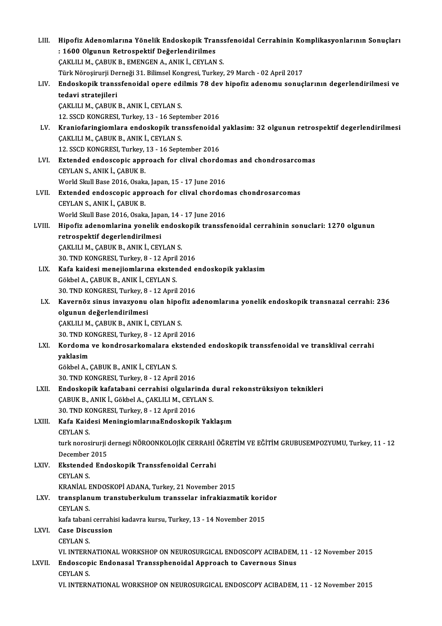| LIII.  | Hipofiz Adenomlarına Yönelik Endoskopik Transsfenoidal Cerrahinin Komplikasyonlarının Sonuçları   |
|--------|---------------------------------------------------------------------------------------------------|
|        | : 1600 Olgunun Retrospektif Değerlendirilmes                                                      |
|        | ÇAKLILI M., ÇABUK B., EMENGEN A., ANIK İ., CEYLAN S.                                              |
|        | Türk Nöroşirurji Derneği 31. Bilimsel Kongresi, Turkey, 29 March - 02 April 2017                  |
| LIV.   | Endoskopik transsfenoidal opere edilmis 78 dev hipofiz adenomu sonuçlarının degerlendirilmesi ve  |
|        | tedavi stratejileri                                                                               |
|        | ÇAKLILI M., ÇABUK B., ANIK İ., CEYLAN S.                                                          |
|        | 12. SSCD KONGRESI, Turkey, 13 - 16 September 2016                                                 |
| LV.    | Kraniofaringiomlara endoskopik transsfenoidal yaklasim: 32 olgunun retrospektif degerlendirilmesi |
|        | ÇAKLILI M., ÇABUK B., ANIK İ., CEYLAN S.                                                          |
|        | 12. SSCD KONGRESI, Turkey, 13 - 16 September 2016                                                 |
| LVI.   | Extended endoscopic approach for clival chordomas and chondrosarcomas                             |
|        | CEYLAN S., ANIK İ., ÇABUK B.                                                                      |
|        | World Skull Base 2016, Osaka, Japan, 15 - 17 June 2016                                            |
| LVII.  | Extended endoscopic approach for clival chordomas chondrosarcomas                                 |
|        | CEYLAN S., ANIK İ., ÇABUK B.                                                                      |
|        | World Skull Base 2016, Osaka, Japan, 14 - 17 June 2016                                            |
| LVIII. | Hipofiz adenomlarina yonelik endoskopik transsfenoidal cerrahinin sonuclari: 1270 olgunun         |
|        | retrospektif degerlendirilmesi                                                                    |
|        | ÇAKLILI M., ÇABUK B., ANIK İ., CEYLAN S.                                                          |
|        | 30. TND KONGRESI, Turkey, 8 - 12 April 2016                                                       |
| LIX.   | Kafa kaidesi menejiomlarına ekstended endoskopik yaklasim                                         |
|        | Gökbel A., ÇABUK B., ANIK İ., CEYLAN S.                                                           |
|        | 30. TND KONGRESI, Turkey, 8 - 12 April 2016                                                       |
| LX.    | Kavernöz sinus invazyonu olan hipofiz adenomlarına yonelik endoskopik transnazal cerrahi: 236     |
|        | olgunun değerlendirilmesi                                                                         |
|        | ÇAKLILI M., ÇABUK B., ANIK İ., CEYLAN S.                                                          |
|        | 30. TND KONGRESI, Turkey, 8 - 12 April 2016                                                       |
|        | LXI. Kordoma ve kondrosarkomalara ekstended endoskopik transsfenoidal ve transklival cerrahi      |
|        | yaklasim                                                                                          |
|        | Gökbel A., ÇABUK B., ANIK İ., CEYLAN S.                                                           |
|        | 30. TND KONGRESI, Turkey, 8 - 12 April 2016                                                       |
| LXII.  | Endoskopik kafatabani cerrahisi olgularinda dural rekonstrüksiyon teknikleri                      |
|        | ÇABUK B., ANIK İ., Gökbel A., ÇAKLILI M., CEYLAN S.                                               |
|        | 30. TND KONGRESI, Turkey, 8 - 12 April 2016                                                       |
| LXIII. | Kafa Kaidesi MeningiomlarınaEndoskopik Yaklaşım                                                   |
|        | <b>CEYLAN S</b>                                                                                   |
|        | turk norosirurji dernegi NÖROONKOLOJİK CERRAHİ ÖĞRETİM VE EĞİTİM GRUBUSEMPOZYUMU, Turkey, 11 - 12 |
|        | December 2015                                                                                     |
| LXIV.  | Ekstended Endoskopik Transsfenoidal Cerrahi                                                       |
|        | <b>CEYLAN S</b>                                                                                   |
|        | KRANİAL ENDOSKOPİ ADANA, Turkey, 21 November 2015                                                 |
| LXV.   | transplanum transtuberkulum transselar infrakiazmatik koridor                                     |
|        | <b>CEYLAN S</b>                                                                                   |
|        | kafa tabani cerrahisi kadavra kursu, Turkey, 13 - 14 November 2015                                |
| LXVI.  | <b>Case Discussion</b>                                                                            |
|        | <b>CEYLAN S</b>                                                                                   |
|        | VI. INTERNATIONAL WORKSHOP ON NEUROSURGICAL ENDOSCOPY ACIBADEM, 11 - 12 November 2015             |
| LXVII. | Endoscopic Endonasal Transsphenoidal Approach to Cavernous Sinus                                  |
|        | <b>CEYLAN S.</b>                                                                                  |
|        | VI. INTERNATIONAL WORKSHOP ON NEUROSURGICAL ENDOSCOPY ACIBADEM, 11 - 12 November 2015             |
|        |                                                                                                   |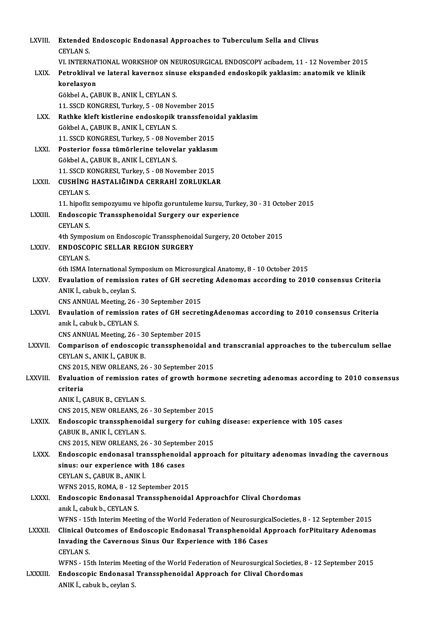| LXVIII.        | Extended Endoscopic Endonasal Approaches to Tuberculum Sella and Clivus                                                                      |
|----------------|----------------------------------------------------------------------------------------------------------------------------------------------|
|                | <b>CEYLAN S</b>                                                                                                                              |
|                | VI. INTERNATIONAL WORKSHOP ON NEUROSURGICAL ENDOSCOPY acibadem, 11 - 12 November 2015                                                        |
| LXIX.          | Petroklival ve lateral kavernoz sinuse ekspanded endoskopik yaklasim: anatomik ve klinik                                                     |
|                | korelasyon                                                                                                                                   |
|                | Gökbel A., ÇABUK B., ANIK İ., CEYLAN S.                                                                                                      |
|                | 11. SSCD KONGRESI, Turkey, 5 - 08 November 2015                                                                                              |
| LXX.           | Rathke kleft kistlerine endoskopik transsfenoidal yaklasim                                                                                   |
|                | Gökbel A., ÇABUK B., ANIK İ., CEYLAN S.                                                                                                      |
|                | 11. SSCD KONGRESI, Turkey, 5 - 08 November 2015                                                                                              |
| <b>LXXI</b>    | Posterior fossa tümörlerine telovelar yaklasım                                                                                               |
|                | Gökbel A., ÇABUK B., ANIK İ., CEYLAN S.                                                                                                      |
|                | 11. SSCD KONGRESI, Turkey, 5 - 08 November 2015                                                                                              |
| LXXII.         | CUSHİNG HASTALIĞINDA CERRAHİ ZORLUKLAR                                                                                                       |
|                | <b>CEYLAN S</b>                                                                                                                              |
|                | 11. hipofiz sempozyumu ve hipofiz goruntuleme kursu, Turkey, 30 - 31 October 2015                                                            |
| LXXIII.        | Endoscopic Transsphenoidal Surgery our experience                                                                                            |
|                | <b>CEYLAN S</b>                                                                                                                              |
| LXXIV.         | 4th Symposium on Endoscopic Transsphenoidal Surgery, 20 October 2015<br><b>ENDOSCOPIC SELLAR REGION SURGERY</b>                              |
|                | <b>CEYLAN S.</b>                                                                                                                             |
|                | 6th ISMA International Symposium on Microsurgical Anatomy, 8 - 10 October 2015                                                               |
| LXXV.          | Evaulation of remission rates of GH secreting Adenomas according to 2010 consensus Criteria                                                  |
|                | ANIK I., cabuk b., ceylan S.                                                                                                                 |
|                | CNS ANNUAL Meeting, 26 - 30 September 2015                                                                                                   |
| <b>LXXVI</b>   | Evaulation of remission rates of GH secretingAdenomas according to 2010 consensus Criteria                                                   |
|                | anık İ., cabuk b., CEYLAN S.                                                                                                                 |
|                | CNS ANNUAL Meeting, 26 - 30 September 2015                                                                                                   |
| <b>LXXVII.</b> | Comparison of endoscopic transsphenoidal and transcranial approaches to the tuberculum sellae                                                |
|                | CEYLAN S., ANIK İ., ÇABUK B.                                                                                                                 |
|                | CNS 2015, NEW ORLEANS, 26 - 30 September 2015                                                                                                |
| LXXVIII.       | Evaluation of remission rates of growth hormone secreting adenomas according to 2010 consensus                                               |
|                | criteria                                                                                                                                     |
|                | ANIK I., ÇABUK B., CEYLAN S.                                                                                                                 |
|                | CNS 2015, NEW ORLEANS, 26 - 30 September 2015                                                                                                |
| <b>LXXIX</b>   | Endoscopic transsphenoidal surgery for cuhing disease: experience with 105 cases                                                             |
|                | ÇABUK B., ANIK İ., CEYLAN S.                                                                                                                 |
| <b>LXXX</b>    | CNS 2015, NEW ORLEANS, 26 - 30 September 2015<br>Endoscopic endonasal transsphenoidal approach for pituitary adenomas invading the cavernous |
|                | sinus: our experience with 186 cases                                                                                                         |
|                | CEYLAN S., ÇABUK B., ANIK İ.                                                                                                                 |
|                | WFNS 2015, ROMA, 8 - 12 September 2015                                                                                                       |
| <b>LXXXI</b>   | Endoscopic Endonasal Transsphenoidal Approachfor Clival Chordomas                                                                            |
|                | anık İ., cabuk b., CEYLAN S.                                                                                                                 |
|                | WFNS - 15th Interim Meeting of the World Federation of NeurosurgicalSocieties, 8 - 12 September 2015                                         |
| <b>LXXXII</b>  | Clinical Outcomes of Endoscopic Endonasal Transphenoidal Approach forPituitary Adenomas                                                      |
|                | Invading the Cavernous Sinus Our Experience with 186 Cases                                                                                   |
|                | <b>CEYLAN S</b>                                                                                                                              |
|                | WFNS - 15th Interim Meeting of the World Federation of Neurosurgical Societies, 8 - 12 September 2015                                        |
| LXXXIII.       | Endoscopic Endonasal Transsphenoidal Approach for Clival Chordomas                                                                           |
|                | ANIK I., cabuk b., ceylan S.                                                                                                                 |
|                |                                                                                                                                              |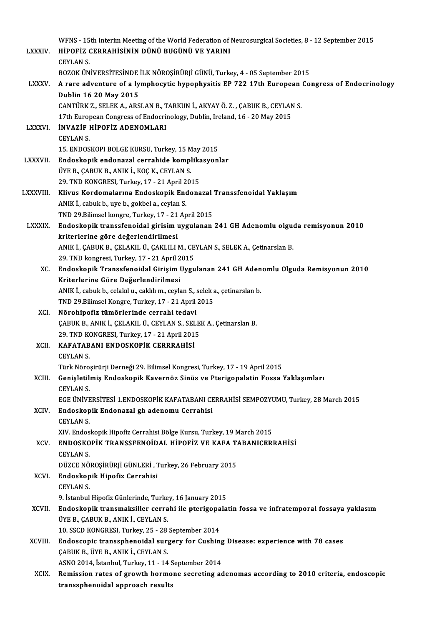|                | WFNS - 15th Interim Meeting of the World Federation of Neurosurgical Societies, 8 - 12 September 2015                             |
|----------------|-----------------------------------------------------------------------------------------------------------------------------------|
| <b>LXXXIV</b>  | HİPOFİZ CERRAHİSİNİN DÜNÜ BUGÜNÜ VE YARINI                                                                                        |
|                | <b>CEYLAN S</b>                                                                                                                   |
|                | BOZOK ÜNIVERSITESINDE ILK NÖROŞİRÜRJİ GÜNÜ, Turkey, 4 - 05 September 2015                                                         |
| <b>LXXXV.</b>  | A rare adventure of a lymphocytic hypophysitis EP 722 17th European Congress of Endocrinology                                     |
|                | Dublin 16 20 May 2015                                                                                                             |
|                | CANTÜRK Z., SELEK A., ARSLAN B., TARKUN İ., AKYAY Ö. Z., ÇABUK B., CEYLAN S.                                                      |
|                | 17th European Congress of Endocrinology, Dublin, Ireland, 16 - 20 May 2015                                                        |
| <b>LXXXVI</b>  | <b>INVAZIF HIPOFIZ ADENOMLARI</b>                                                                                                 |
|                | <b>CEYLAN S</b>                                                                                                                   |
|                | 15. ENDOSKOPI BOLGE KURSU, Turkey, 15 May 2015                                                                                    |
| <b>LXXXVII</b> | Endoskopik endonazal cerrahide komplikasyonlar                                                                                    |
|                | ÜYE B., CABUK B., ANIK İ., KOÇ K., CEYLAN S.                                                                                      |
|                | 29. TND KONGRESI, Turkey, 17 - 21 April 2015                                                                                      |
| LXXXVIII.      | Klivus Kordomalarına Endoskopik Endonazal Transsfenoidal Yaklaşım                                                                 |
|                | ANIK İ., cabuk b., uye b., gokbel a., ceylan S.                                                                                   |
|                | TND 29.Bilimsel kongre, Turkey, 17 - 21 April 2015                                                                                |
| <b>LXXXIX</b>  | Endoskopik transsfenoidal girisim uygulanan 241 GH Adenomlu olguda remisyonun 2010                                                |
|                | kriterlerine göre değerlendirilmesi                                                                                               |
|                | ANIK İ., ÇABUK B., ÇELAKIL Ü., ÇAKLILI M., CEYLAN S., SELEK A., Çetinarslan B.                                                    |
|                | 29. TND kongresi, Turkey, 17 - 21 April 2015                                                                                      |
| XC.            | Endoskopik Transsfenoidal Girişim Uygulanan 241 GH Adenomlu Olguda Remisyonun 2010                                                |
|                | Kriterlerine Göre Değerlendirilmesi                                                                                               |
|                | ANIK İ., cabuk b., celakıl u., caklılı m., ceylan S., selek a., çetinarslan b.                                                    |
|                | TND 29.Bilimsel Kongre, Turkey, 17 - 21 April 2015                                                                                |
| XCI.           | Nörohipofiz tümörlerinde cerrahi tedavi                                                                                           |
|                | ÇABUK B., ANIK İ., ÇELAKIL Ü., CEYLAN S., SELEK A., Çetinarslan B.                                                                |
|                | 29. TND KONGRESI, Turkey, 17 - 21 April 2015                                                                                      |
|                | XCII. KAFATABANI ENDOSKOPİK CERRRAHİSİ                                                                                            |
|                | <b>CEYLAN S.</b>                                                                                                                  |
|                | Türk Nöroşirürji Derneği 29. Bilimsel Kongresi, Turkey, 17 - 19 April 2015                                                        |
| XCIII.         | Genişletilmiş Endoskopik Kavernöz Sinüs ve Pterigopalatin Fossa Yaklaşımları                                                      |
|                | <b>CEYLAN S</b>                                                                                                                   |
|                | EGE ÜNİVERSİTESİ 1.ENDOSKOPİK KAFATABANI CERRAHİSİ SEMPOZYUMU, Turkey, 28 March 2015                                              |
| XCIV.          | Endoskopik Endonazal gh adenomu Cerrahisi                                                                                         |
|                | <b>CEYLAN S</b>                                                                                                                   |
|                | XIV. Endoskopik Hipofiz Cerrahisi Bölge Kursu, Turkey, 19 March 2015<br>ENDOSKOPİK TRANSSFENOİDAL HİPOFİZ VE KAFA TABANICERRAHİSİ |
| XCV.           |                                                                                                                                   |
|                | <b>CEYLAN S.</b><br>DÜZCE NÖROŞİRÜRJİ GÜNLERİ, Turkey, 26 February 2015                                                           |
| XCVI.          | Endoskopik Hipofiz Cerrahisi                                                                                                      |
|                | <b>CEYLAN S</b>                                                                                                                   |
|                | 9. İstanbul Hipofiz Günlerinde, Turkey, 16 January 2015                                                                           |
| XCVII.         | Endoskopik transmaksiller cerrahi ile pterigopalatin fossa ve infratemporal fossaya yaklasım                                      |
|                | ÜYE B., ÇABUK B., ANIK İ., CEYLAN S.                                                                                              |
|                | 10. SSCD KONGRESI, Turkey, 25 - 28 September 2014                                                                                 |
| XCVIII.        | Endoscopic transsphenoidal surgery for Cushing Disease: experience with 78 cases                                                  |
|                | ÇABUK B., ÜYE B., ANIK İ., CEYLAN S.                                                                                              |
|                | ASNO 2014, Istanbul, Turkey, 11 - 14 September 2014                                                                               |
| <b>XCIX</b>    | Remission rates of growth hormone secreting adenomas according to 2010 criteria, endoscopic                                       |
|                | transsphenoidal approach results                                                                                                  |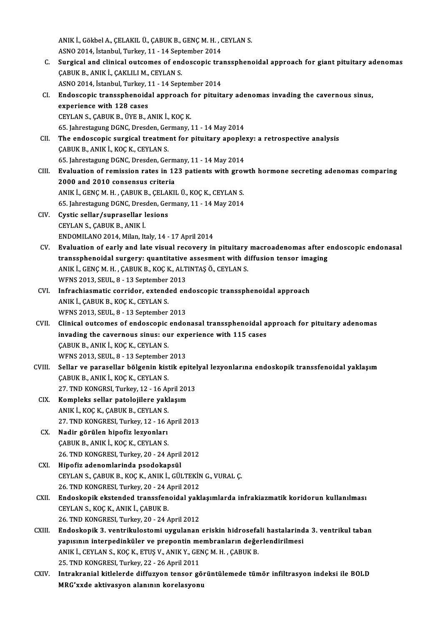ANIK İ., Gökbel A., ÇELAKIL Ü., ÇABUK B., GENÇ M. H. , CEYLAN S.<br>ASNO 2014, İstanbul Turkov, 11, . 14 Sentamber 2014 ANIK İ., Gökbel A., ÇELAKIL Ü., ÇABUK B., GENÇ M. H. , (<br>ASNO 2014, İstanbul, Turkey, 11 - 14 September 2014<br>Sungisal and elinisal autsames af andossanis tra ANIK İ., Gökbel A., ÇELAKIL Ü., ÇABUK B., GENÇ M. H. , CEYLAN S.<br>ASNO 2014, İstanbul, Turkey, 11 - 14 September 2014<br>C. Surgical and clinical outcomes of endoscopic transsphenoidal approach for giant pituitary adenomas<br>CAB ASNO 2014, İstanbul, Turkey, 11 - 14 Sept<br>Surgical and clinical outcomes of enc<br>ÇABUK B., ANIK İ., ÇAKLILI M., CEYLAN S.<br>ASNO 2014, İstanbul Turkey, 11 - 14 Sept Surgical and clinical outcomes of endoscopic tra<br>ÇABUK B., ANIK İ., ÇAKLILI M., CEYLAN S.<br>ASNO 2014, İstanbul, Turkey, 11 - 14 September 2014<br>Endoscopis transspheneidal annroash for pitujt: CABUK B., ANIK İ., CAKLILI M., CEYLAN S.<br>ASNO 2014, İstanbul, Turkey, 11 - 14 September 2014<br>CI. Bndoscopic transsphenoidal approach for pituitary adenomas invading the cavernous sinus,<br>experience with 128 sesss. ASNO 2014, İstanbul, Turkey, 11 - 14 September 2014<br>Endoscopic transsphenoidal approach for pituit<br>experience with 128 cases<br>CEYLAN S., CABUK B., ÜYE B., ANIK İ., KOÇ K. Endoscopic transsphenoidal approach f<br>experience with 128 cases<br>CEYLAN S., ÇABUK B., ÜYE B., ANIK İ., KOÇ K.<br>65 Jahrestagung DCNC Dresden Cermany 65. JahrestagungDGNC,Dresden,Germany,11 -14May2014 CEYLAN S., ÇABUK B., ÜYE B., ANIK İ., KOÇ K.<br>65. Jahrestagung DGNC, Dresden, Germany, 11 - 14 May 2014<br>CII. The endoscopic surgical treatment for pituitary apoplexy: a retrospective analysis<br>CABUK B. ANIK İ. KOC K. CEVLAN 65. Jahrestagung DGNC, Dresden, Ger<br>The endoscopic surgical treatme<br>CABUK B., ANIK İ., KOÇ K., CEYLAN S. The endoscopic surgical treatment for pituitary apople:<br>CABUK B., ANIK İ., KOÇ K., CEYLAN S.<br>65. Jahrestagung DGNC, Dresden, Germany, 11 - 14 May 2014<br>Evaluation of remission rates in 122 nationts with grov CABUK B., ANIK İ., KOÇ K., CEYLAN S.<br>65. Jahrestagung DGNC, Dresden, Germany, 11 - 14 May 2014<br>CIII. Evaluation of remission rates in 123 patients with growth hormone secreting adenomas comparing<br>2000 and 2010 conseneus en 65. Jahrestagung DGNC, Dresden, Germ<br>Evaluation of remission rates in 12<br>2000 and 2010 consensus criteria Evaluation of remission rates in 123 patients with grov<br>2000 and 2010 consensus criteria<br>ANIK İ., GENÇM.H., ÇABUK B., ÇELAKIL Ü., KOÇ K., CEYLAN S. 2000 and 2010 consensus criteria<br>ANIK İ., GENÇ M. H. , ÇABUK B., ÇELAKIL Ü., KOÇ K., CEYLAN S.<br>65. Jahrestagung DGNC, Dresden, Germany, 11 - 14 May 2014<br>Cystis sellar (sunnasellar lesians CIV. Cystic sellar/suprasellar lesions<br>CEYLAN S., CABUK B., ANIK I. 65. Jahrestagung DGNC, Dresden, Germany, 11 - 14 May 2014 ENDOMILANO2014,Milan, Italy,14 -17April2014 CEYLAN S., ÇABUK B., ANIK İ.<br>ENDOMILANO 2014, Milan, Italy, 14 - 17 April 2014<br>CV. Evaluation of early and late visual recovery in pituitary macroadenomas after endoscopic endonasal<br>transcrhanaidal surgery: suantitative es ENDOMILANO 2014, Milan, Italy, 14 - 17 April 2014<br>Evaluation of early and late visual recovery in pituitary macroadenomas after e<br>transsphenoidal surgery: quantitative assesment with diffusion tensor imaging<br>ANIK L.CENC.M. Evaluation of early and late visual recovery in pituitary<br>transsphenoidal surgery: quantitative assesment with d<br>ANIK İ., GENÇ M. H. , ÇABUK B., KOÇ K., ALTINTAŞ Ö., CEYLAN S.<br>WENS 2012 SEUL 8 - 13 Sontamber 2012 transsphenoidal surgery: quantitative assesment with diffusion tensor imaging ANIK İ., GENÇ M. H. , ÇABUK B., KOÇ K., ALTINTAŞ Ö., CEYLAN S.<br>WFNS 2013, SEUL, 8 - 13 September 2013 ANIK İ., GENÇ M. H. , ÇABUK B., KOÇ K., ALTINTAŞ Ö., CEYLAN S.<br>WFNS 2013, SEUL, 8 - 13 September 2013<br>CVI. Infrachiasmatic corridor, extended endoscopic transsphenoidal approach<br>ANIK İ. CABUK B. KOC K. CEVLAN S. WFNS 2013, SEUL, 8 - 13 September<br>Infrachiasmatic corridor, extend<br>ANIK İ., ÇABUK B., KOÇ K., CEYLAN S.<br>WENS 2012, SEUL, 8 - 12 September Infrachiasmatic corridor, extended en<br>ANIK İ., ÇABUK B., KOÇ K., CEYLAN S.<br>WFNS 2013, SEUL, 8 - 13 September 2013<br>Clinisal eutermes of endessenis endet ANIK İ., ÇABUK B., KOÇ K., CEYLAN S.<br>WFNS 2013, SEUL, 8 - 13 September 2013<br>CVII. Clinical outcomes of endoscopic endonasal transsphenoidal approach for pituitary adenomas WFNS 2013, SEUL, 8 - 13 September 2013<br>Clinical outcomes of endoscopic endonasal transsphenoidal a<br>invading the cavernous sinus: our experience with 115 cases ÇABUK B., ANIK İ., KOÇ K., CEYLAN S. invading the cavernous sinus: our exp<br>ÇABUK B., ANIK İ., KOÇ K., CEYLAN S.<br>WFNS 2013, SEUL, 8 - 13 September 2013<br>Sellar ve parasellar bölgenin kiştik en CABUK B., ANIK İ., KOÇ K., CEYLAN S.<br>WFNS 2013, SEUL, 8 - 13 September 2013<br>CVIII. Sellar ve parasellar bölgenin kistik epitelyal lezyonlarına endoskopik transsfenoidal yaklaşım<br>CABUK B. ANIK İ. KOÇ K. CEYLAN S. WFNS 2013, SEUL, 8 - 13 September 2013<br>Sellar ve parasellar bölgenin kistik epite<br>ÇABUK B., ANIK İ., KOÇ K., CEYLAN S.<br>27. TND KONGRSI, Turkey, 12 - 16 April 2013 Sellar ve parasellar bölgenin kistik epitel<br>ÇABUK B., ANIK İ., KOÇ K., CEYLAN S.<br>27. TND KONGRSI, Turkey, 12 - 16 April 2013<br>Kompleks sellar patalajilare vaklasım CIX. Kompleks sellar patolojilere yaklaşım ANIKİ.,KOÇK.,ÇABUKB.,CEYLANS. 27. TND KONGRESI, Turkey, 12 - 16 April 2013 CX. Nadir görülen hipofiz lezyonları ÇABUK B., ANIK İ., KOÇ K., CEYLAN S. 26. TND KONGRESI, Turkey, 20 - 24 April 2012 CXI. Hipofiz adenomlarinda psodokapsül 26. TND KONGRESI, Turkey, 20 - 24 April 2012<br>Hipofiz adenomlarinda psodokapsül<br>CEYLAN S., ÇABUK B., KOÇ K., ANIK İ., GÜLTEKİN G., VURAL Ç.<br>26. TND KONGRESI, Turkey, 20 - 24 April 2012 Hipofiz adenomlarinda psodokapsül<br>CEYLAN S., ÇABUK B., KOÇ K., ANIK İ., GÜLTEKİN<br>26. TND KONGRESI, Turkey, 20 - 24 April 2012<br>Endeskenik ekstended transsfenaidal yakl CEYLAN S., ÇABUK B., KOÇ K., ANIK İ., GÜLTEKİN G., VURAL Ç.<br>26. TND KONGRESI, Turkey, 20 - 24 April 2012<br>CXII. Bu koskopik ekstended transsfenoidal yaklaşımlarda infrakiazmatik koridorun kullanılması 26. TND KONGRESI, Turkey, 20 - 24 April 2012<br>Endoskopik ekstended transsfenoidal yak<br>CEYLAN S., KOÇ K., ANIK İ., ÇABUK B.<br>26. TND KONGRESI. Turkey. 20 - 24 April 2012 Endoskopik ekstended transsfenoidal yakl<br>CEYLAN S., KOÇ K., ANIK İ., ÇABUK B.<br>26. TND KONGRESI, Turkey, 20 - 24 April 2012<br>Endoskopik 3. yantrilu lastami uygulanan CEYLAN S., KOÇ K., ANIK İ., ÇABUK B.<br>26. TND KONGRESI, Turkey, 20 - 24 April 2012<br>CXIII. Endoskopik 3. ventrikulostomi uygulanan eriskin hidrosefali hastalarinda 3. ventrikul taban<br>venyanın internedinküler ve nrenentin 26. TND KONGRESI, Turkey, 20 - 24 April 2012<br>Endoskopik 3. ventrikulostomi uygulanan eriskin hidrosefali hastalarind<br>yapısının interpedinküler ve prepontin membranların değerlendirilmesi<br>ANIK İ. CEVLAN S. KOC K. ETUS V. AN Endoskopik 3. ventrikulostomi uygulanan eriskin hidrosefa<br>yapısının interpedinküler ve prepontin membranların değe<br>ANIK İ., CEYLAN S., KOÇ K., ETUŞ V., ANIK Y., GENÇ M. H. , ÇABUK B.<br>25. TND KONCPESI, Turkay 22., 26. April yapısının interpedinküler ve prepontin membranların değerlendirilmesi<br>ANIK İ., CEYLAN S., KOÇ K., ETUŞ V., ANIK Y., GENÇ M. H. , ÇABUK B.<br>25. TND KONGRESI, Turkey, 22 - 26 April 2011 ANIK İ., CEYLAN S., KOÇ K., ETUŞ V., ANIK Y., GENÇ M. H. , ÇABUK B.<br>25. TND KONGRESI, Turkey, 22 - 26 April 2011<br>CXIV. Intrakranial kitlelerde diffuzyon tensor görüntülemede tümör infiltrasyon indeksi ile BOLD<br>MBC'tude ekt 25. TND KONGRESI, Turkey, 22 - 26 April 2011<br>Intrakranial kitlelerde diffuzyon tensor gö:<br>MRG'xxde aktivasyon alanının korelasyonu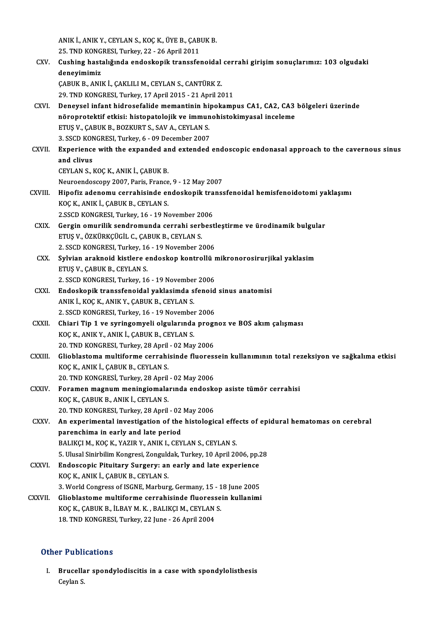ANIK İ., ANIK Y., CEYLAN S., KOÇ K., ÜYE B., ÇABUK B.<br>25. TND KONCRESI, Turkey, 22., 26. Anril 2011 ANIK İ., ANIK Y., CEYLAN S., KOÇ K., ÜYE B., ÇAB<br>25. TND KONGRESI, Turkey, 22 - 26 April 2011<br>Gushing bastalığında endeskanik transafsı ANIK İ., ANIK Y., CEYLAN S., KOÇ K., ÜYE B., ÇABUK B.<br>25. TND KONGRESI, Turkey, 22 - 26 April 2011<br>CXV. Cushing hastalığında endoskopik transsfenoidal cerrahi girişim sonuçlarımız: 103 olgudaki<br>donovimimir. 25. TND KONG<br>Cushing hast:<br>deneyimimiz<br>CABUV B. ANU Cushing hastalığında endoskopik transsfenoidal<br>deneyimimiz<br>ÇABUK B., ANIK İ., ÇAKLILI M., CEYLAN S., CANTÜRK Z.<br>29. TND KONCRESI Turkay 17 April 2015 - 21 April 20 deneyimimiz<br>ÇABUK B., ANIK İ., ÇAKLILI M., CEYLAN S., CANTÜRK Z.<br>29. TND KONGRESI, Turkey, 17 April 2015 - 21 April 2011 CABUK B., ANIK İ., ÇAKLILI M., CEYLAN S., CANTÜRK Z.<br>29. TND KONGRESI, Turkey, 17 April 2015 - 21 April 2011<br>CXVI. Deneysel infant hidrosefalide memantinin hipokampus CA1, CA2, CA3 bölgeleri üzerinde<br>pörenretektif etkisi: 29. TND KONGRESI, Turkey, 17 April 2015 - 21 April 2011<br>Deneysel infant hidrosefalide memantinin hipokampus CA1, CA2, CA3<br>nöroprotektif etkisi: histopatolojik ve immunohistokimyasal inceleme<br>FTIS V. CAPUV P. POZKUPT S. SAV Deneysel infant hidrosefalide memantinin hi<br>nöroprotektif etkisi: histopatolojik ve immun<br>ETUŞ V., ÇABUK B., BOZKURT S., SAV A., CEYLAN S.<br>2. SSCD KONCRESI Turkey 6., 09 December 2007 nöroprotektif etkisi: histopatolojik ve immunohistokimyasal inceleme<br>ETUŞ V., ÇABUK B., BOZKURT S., SAV A., CEYLAN S.<br>3. SSCD KONGRESI, Turkey, 6 - 09 December 2007 ETUȘ V., ÇABUK B., BOZKURT S., SAV A., CEYLAN S.<br>3. SSCD KONGRESI, Turkey, 6 - 09 December 2007<br>CXVII. Experience with the expanded and extended endoscopic endonasal approach to the cavernous sinus<br>and clivus 3. SSCD KON<br>Experience<br>and clivus<br>CEVI AN S Experience with the expanded are<br>and clivus<br>CEYLAN S., KOÇ K., ANIK İ., ÇABUK B.<br>Nauroandossany 2007, Paris, Eransa and clivus<br>CEYLAN S., KOÇ K., ANIK İ., ÇABUK B.<br>Neuroendoscopy 2007, Paris, France, 9 - 12 May 2007 CEYLAN S., KOÇ K., ANIK İ., ÇABUK B.<br>Neuroendoscopy 2007, Paris, France, 9 - 12 May 2007<br>CXVIII. Hipofiz adenomu cerrahisinde endoskopik transsfenoidal hemisfenoidotomi yaklaşımı<br>KOC K. ANIK İ. CABUK B. CEVLAN S KOÇ K., ANIK İ., ÇABUK B., CEYLAN S. Hipofiz adenomu cerrahisinde endoskopik tra<br>KOÇ K., ANIK İ., ÇABUK B., CEYLAN S.<br>2.SSCD KONGRESI, Turkey, 16 - 19 November 2006<br>Cersin emurilik sendromunda serrahi serbest CXIX. Gergin omurilik sendromunda cerrahi serbestleştirme ve ürodinamik bulgular 2 SSCD KONGRESI, Turkey, 16 - 19 November 2006 Gergin omurilik sendromunda cerrahi serbestl<br>ETUŞ V., ÖZKÜRKÇÜGİL C., ÇABUK B., CEYLAN S.<br>2. SSCD KONGRESI, Turkey, 16 - 19 November 2006<br>Sylvian analmaid kistlare andaskan kantrallü x ETUŞ V., ÖZKÜRKÇÜGİL C., ÇABUK B., CEYLAN S.<br>2. SSCD KONGRESI, Turkey, 16 - 19 November 2006<br>CXX. Sylvian araknoid kistlere endoskop kontrollü mikronorosirurjikal yaklasim<br>ETUS V. CABUK B. CEVLAN S 2. SSCD KONGRESI, Turkey, 16<br>Sylvian araknoid kistlere e<br>ETUŞ V., ÇABUK B., CEYLAN S.<br>2. SSCD KONCRESI, Turkey, 16 Sylvian araknoid kistlere endoskop kontrollü r<br>ETUŞ V., ÇABUK B., CEYLAN S.<br>2. SSCD KONGRESI, Turkey, 16 - 19 November 2006<br>Endoskopik transsfonoidal vaklasimda sfonoid ETUŞ V., ÇABUK B., CEYLAN S.<br>2. SSCD KONGRESI, Turkey, 16 - 19 November 2006<br>CXXI. Endoskopik transsfenoidal yaklasimda sfenoid sinus anatomisi 2. SSCD KONGRESI, Turkey, 16 - 19 November<br>Endoskopik transsfenoidal yaklasimda s<br>ANIK İ., KOÇ K., ANIK Y., ÇABUK B., CEYLAN S.<br>2. SSCD KONGRESI, Turkey, 16 - 19 November Endoskopik transsfenoidal yaklasimda sfenoid<br>ANIK İ., KOÇ K., ANIK Y., ÇABUK B., CEYLAN S.<br>2. SSCD KONGRESI, Turkey, 16 - 19 November 2006<br>Chiari Tin 1 ve suringamyali algularında progr ANIK İ., KOÇ K., ANIK Y., ÇABUK B., CEYLAN S.<br>2. SSCD KONGRESI, Turkey, 16 - 19 November 2006<br>CXXII. Chiari Tip 1 ve syringomyeli olgularında prognoz ve BOS akım çalışması<br>KOÇ K., ANIK Y., ANIK İ., ÇABUK B., CEYLAN S. 2. SSCD KONGRESI, Turkey, 16 - 19 November 2006 Chiari Tip 1 ve syringomyeli olgularında progr<br>KOÇ K., ANIK Y., ANIK İ., ÇABUK B., CEYLAN S.<br>20. TND KONGRESI, Turkey, 28 April - 02 May 2006<br>Gliablastama multifarma sarrabisinda fluaress KOÇ K., ANIK Y., ANIK İ., ÇABUK B., CEYLAN S.<br>20. TND KONGRESI, Turkey, 28 April - 02 May 2006<br>CXXIII. Glioblastoma multiforme cerrahisinde fluoressein kullanımının total rezeksiyon ve sağkalıma etkisi 20. TND KONGRESI, Turkey, 28 April<br>Glioblastoma multiforme cerrahi<br>KOÇ K., ANIK İ., ÇABUK B., CEYLAN S.<br>20. TND KONGRESİ Turkey, 28 April 3 Glioblastoma multiforme cerrahisinde fluores:<br>KOÇ K., ANIK İ., ÇABUK B., CEYLAN S.<br>20. TND KONGRESİ, Turkey, 28 April - 02 May 2006<br>Feraman magnum maningiamalarında andaaks KOÇ K., ANIK İ., ÇABUK B., CEYLAN S.<br>20. TND KONGRESİ, Turkey, 28 April - 02 May 2006<br>CXXIV. Foramen magnum meningiomalarında endoskop asiste tümör cerrahisi<br>KOÇ K., ÇABUK B., ANIK İ., CEYLAN S. 20. TND KONGRESİ, Turkey, 28 April - 02 May 2006 Foramen magnum meningiomalarında endosk<br>KOÇ K., ÇABUK B., ANIK İ., CEYLAN S.<br>20. TND KONGRESI, Turkey, 28 April - 02 May 2006<br>An evnenimentel investigation of the histologic CXXV. An experimental investigation of the histological effects of epidural hematomas on cerebral 20. TND KONGRESI, Turkey, 28 April - 02<br>An experimental investigation of the<br>parenchima in early and late period<br>PALIKCLM, KOCK, YAZIP V, ANIKL, CEV BALIKÇI M., KOÇ K., YAZIR Y., ANIK I., CEYLAN S., CEYLAN S. parenchima in early and late period<br>BALIKÇI M., KOÇ K., YAZIR Y., ANIK I., CEYLAN S., CEYLAN S.<br>5. Ulusal Sinirbilim Kongresi, Zonguldak, Turkey, 10 April 2006, pp.28<br>Endessenis Bituitary Surgery: an early and late experie BALIKÇI M., KOÇ K., YAZIR Y., ANIK I., CEYLAN S., CEYLAN S.<br>5. Ulusal Sinirbilim Kongresi, Zonguldak, Turkey, 10 April 2006, pp.<br>CXXVI. Endoscopic Pituitary Surgery: an early and late experience<br> $XOCY$ , ANIK I. CABUK B. CEV Endoscopic Pituitary Surgery: an early and late experience KOÇ K., ANIK İ., ÇABUK B., CEYLAN S. Endoscopic Pituitary Surgery: an early and late experience<br>KOÇ K., ANIK İ., ÇABUK B., CEYLAN S.<br>3. World Congress of ISGNE, Marburg, Germany, 15 - 18 June 2005<br>Clichlastome multiforme serrabisinde flueressesin kullenimi KOÇ K., ANIK İ., ÇABUK B., CEYLAN S.<br>3. World Congress of ISGNE, Marburg, Germany, 15 - 18 June 2005<br>CXXVII. Glioblastome multiforme cerrahisinde fluoressein kullanimi<br>YOC V. CABUV B. İLBAV M. V. BALIVCLM, CEVLAN S. 3. World Congress of ISGNE, Marburg, Germany, 15 - 1<br>Glioblastome multiforme cerrahisinde fluoresse<br>KOÇ K., ÇABUK B., İLBAY M. K. , BALIKÇI M., CEYLAN S.<br>19. TND KONGBESI Turkay, 22 June, 26 April 2004 CXXVII. Glioblastome multiforme cerrahisinde fluoressein kullanimi<br>KOÇ K., ÇABUK B., İLBAY M. K., BALIKÇI M., CEYLAN S.<br>18. TND KONGRESI, Turkey, 22 June - 26 April 2004

#### Other Publications

ther Publications<br>I. Brucellar spondylodiscitis in a case with spondylolisthesis<br>Caylan S r rubri<br>Brucella<br>Ceylan S.